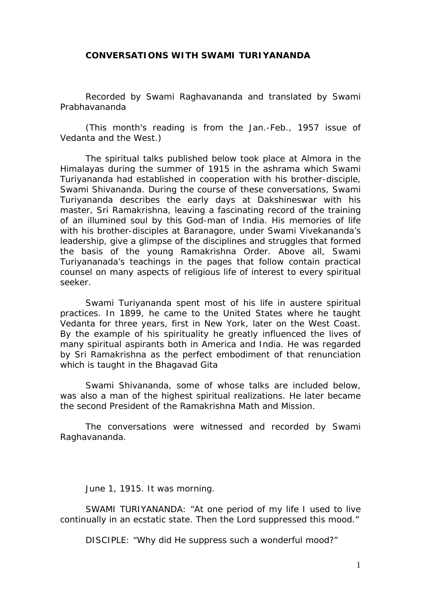## **CONVERSATIONS WITH SWAMI TURIYANANDA**

Recorded by Swami Raghavananda and translated by Swami Prabhavananda

(This month's reading is from the Jan.-Feb., 1957 issue of Vedanta and the West.)

*The spiritual talks published below took place at Almora in the Himalayas during the summer of 1915 in the ashrama which Swami Turiyananda had established in cooperation with his brother-disciple, Swami Shivananda. During the course of these conversations, Swami Turiyananda describes the early days at Dakshineswar with his master, Sri Ramakrishna, leaving a fascinating record of the training of an illumined soul by this God-man of India. His memories of life with his brother-disciples at Baranagore, under Swami Vivekananda's leadership, give a glimpse of the disciplines and struggles that formed the basis of the young Ramakrishna Order. Above all, Swami Turiyananada's teachings in the pages that follow contain practical counsel on many aspects of religious life of interest to every spiritual seeker.* 

*Swami Turiyananda spent most of his life in austere spiritual practices. In 1899, he came to the United States where he taught Vedanta for three years, first in New York, later on the West Coast. By the example of his spirituality he greatly influenced the lives of many spiritual aspirants both in America and India. He was regarded by Sri Ramakrishna as the perfect embodiment of that renunciation which is taught in the Bhagavad Gita* 

*Swami Shivananda, some of whose talks are included below, was also a man of the highest spiritual realizations. He later became the second President of the Ramakrishna Math and Mission.* 

*The conversations were witnessed and recorded by Swami Raghavananda.* 

June 1, 1915. It was morning.

SWAMI TURIYANANDA: "At one period of my life I used to live continually in an ecstatic state. Then the Lord suppressed this mood."

DISCIPLE: "Why did He suppress such a wonderful mood?"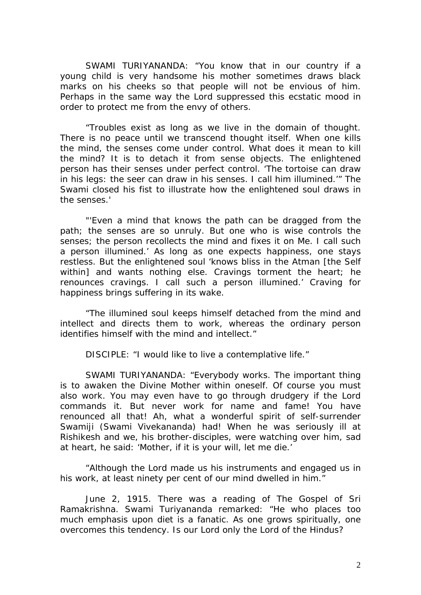SWAMI TURIYANANDA: "You know that in our country if a young child is very handsome his mother sometimes draws black marks on his cheeks so that people will not be envious of him. Perhaps in the same way the Lord suppressed this ecstatic mood in order to protect me from the envy of others.

"Troubles exist as long as we live in the domain of thought. There is no peace until we transcend thought itself. When one kills the mind, the senses come under control. What does it mean to kill the mind? It is to detach it from sense objects. The enlightened person has their senses under perfect control. 'The tortoise can draw in his legs: the seer can draw in his senses. I call him illumined.'" The Swami closed his fist to illustrate how the enlightened soul draws in the senses.'

"'Even a mind that knows the path can be dragged from the path; the senses are so unruly. But one who is wise controls the senses; the person recollects the mind and fixes it on Me. I call such a person illumined.' As long as one expects happiness, one stays restless. But the enlightened soul 'knows bliss in the Atman [the Self within] and wants nothing else. Cravings torment the heart; he renounces cravings. I call such a person illumined.' Craving for happiness brings suffering in its wake.

"The illumined soul keeps himself detached from the mind and intellect and directs them to work, whereas the ordinary person identifies himself with the mind and intellect."

DISCIPLE: "I would like to live a contemplative life."

SWAMI TURIYANANDA: "Everybody works. The important thing is to awaken the Divine Mother within oneself. Of course you must also work. You may even have to go through drudgery if the Lord commands it. But never work for name and fame! You have renounced all that! Ah, what a wonderful spirit of self-surrender Swamiji (Swami Vivekananda) had! When he was seriously ill at Rishikesh and we, his brother-disciples, were watching over him, sad at heart, he said: 'Mother, if it is your will, let me die.'

"Although the Lord made us his instruments and engaged us in his work, at least ninety per cent of our mind dwelled in him."

June 2, 1915. There was a reading of The Gospel of Sri Ramakrishna. Swami Turiyananda remarked: "He who places too much emphasis upon diet is a fanatic. As one grows spiritually, one overcomes this tendency. Is our Lord only the Lord of the Hindus?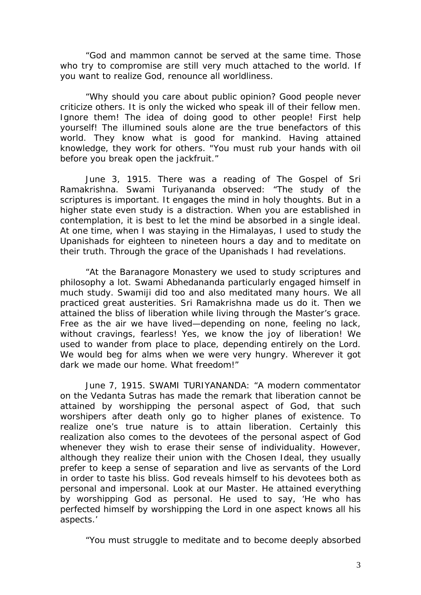"God and mammon cannot be served at the same time. Those who try to compromise are still very much attached to the world. If you want to realize God, renounce all worldliness.

"Why should you care about public opinion? Good people never criticize others. It is only the wicked who speak ill of their fellow men. Ignore them! The idea of doing good to other people! First help yourself! The illumined souls alone are the true benefactors of this world. They know what is good for mankind. Having attained knowledge, they work for others. "You must rub your hands with oil before you break open the jackfruit."

June 3, 1915. There was a reading of The Gospel of Sri Ramakrishna. Swami Turiyananda observed: "The study of the scriptures is important. It engages the mind in holy thoughts. But in a higher state even study is a distraction. When you are established in contemplation, it is best to let the mind be absorbed in a single ideal. At one time, when I was staying in the Himalayas, I used to study the Upanishads for eighteen to nineteen hours a day and to meditate on their truth. Through the grace of the Upanishads I had revelations.

"At the Baranagore Monastery we used to study scriptures and philosophy a lot. Swami Abhedananda particularly engaged himself in much study. Swamiji did too and also meditated many hours. We all practiced great austerities. Sri Ramakrishna made us do it. Then we attained the bliss of liberation while living through the Master's grace. Free as the air we have lived—depending on none, feeling no lack, without cravings, fearless! Yes, we know the joy of liberation! We used to wander from place to place, depending entirely on the Lord. We would beg for alms when we were very hungry. Wherever it got dark we made our home. What freedom!"

June 7, 1915. SWAMI TURIYANANDA: "A modern commentator on the Vedanta Sutras has made the remark that liberation cannot be attained by worshipping the personal aspect of God, that such worshipers after death only go to higher planes of existence. To realize one's true nature is to attain liberation. Certainly this realization also comes to the devotees of the personal aspect of God whenever they wish to erase their sense of individuality. However, although they realize their union with the Chosen Ideal, they usually prefer to keep a sense of separation and live as servants of the Lord in order to taste his bliss. God reveals himself to his devotees both as personal and impersonal. Look at our Master. He attained everything by worshipping God as personal. He used to say, 'He who has perfected himself by worshipping the Lord in one aspect knows all his aspects.'

"You must struggle to meditate and to become deeply absorbed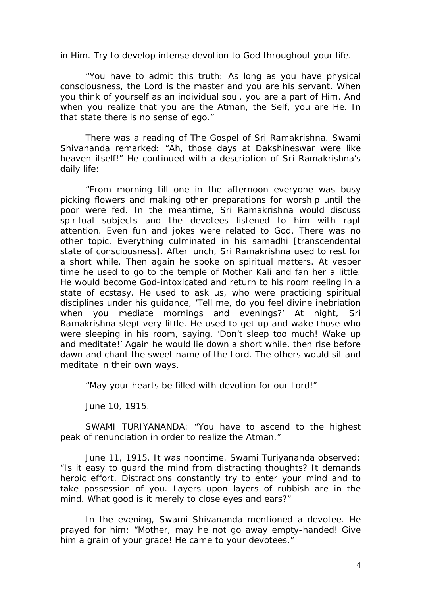in Him. Try to develop intense devotion to God throughout your life.

"You have to admit this truth: As long as you have physical consciousness, the Lord is the master and you are his servant. When you think of yourself as an individual soul, you are a part of Him. And when you realize that you are the Atman, the Self, you are He. In that state there is no sense of ego."

There was a reading of The Gospel of Sri Ramakrishna. Swami Shivananda remarked: "Ah, those days at Dakshineswar were like heaven itself!" He continued with a description of Sri Ramakrishna's daily life:

"From morning till one in the afternoon everyone was busy picking flowers and making other preparations for worship until the poor were fed. In the meantime, Sri Ramakrishna would discuss spiritual subjects and the devotees listened to him with rapt attention. Even fun and jokes were related to God. There was no other topic. Everything culminated in his samadhi [transcendental state of consciousness]. After lunch, Sri Ramakrishna used to rest for a short while. Then again he spoke on spiritual matters. At vesper time he used to go to the temple of Mother Kali and fan her a little. He would become God-intoxicated and return to his room reeling in a state of ecstasy. He used to ask us, who were practicing spiritual disciplines under his guidance, 'Tell me, do you feel divine inebriation when you mediate mornings and evenings?' At night, Sri Ramakrishna slept very little. He used to get up and wake those who were sleeping in his room, saying, 'Don't sleep too much! Wake up and meditate!' Again he would lie down a short while, then rise before dawn and chant the sweet name of the Lord. The others would sit and meditate in their own ways.

"May your hearts be filled with devotion for our Lord!"

June 10, 1915.

SWAMI TURIYANANDA: "You have to ascend to the highest peak of renunciation in order to realize the Atman."

June 11, 1915. It was noontime. Swami Turiyananda observed: "Is it easy to guard the mind from distracting thoughts? It demands heroic effort. Distractions constantly try to enter your mind and to take possession of you. Layers upon layers of rubbish are in the mind. What good is it merely to close eyes and ears?"

In the evening, Swami Shivananda mentioned a devotee. He prayed for him: "Mother, may he not go away empty-handed! Give him a grain of your grace! He came to your devotees."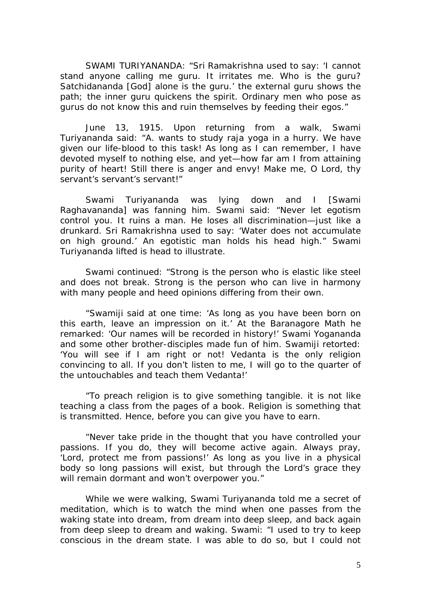SWAMI TURIYANANDA: "Sri Ramakrishna used to say: 'I cannot stand anyone calling me guru. It irritates me. Who is the guru? Satchidananda [God] alone is the guru.' the external guru shows the path; the inner guru quickens the spirit. Ordinary men who pose as gurus do not know this and ruin themselves by feeding their egos."

June 13, 1915. Upon returning from a walk, Swami Turiyananda said: "A. wants to study raja yoga in a hurry. We have given our life-blood to this task! As long as I can remember, I have devoted myself to nothing else, and yet—how far am I from attaining purity of heart! Still there is anger and envy! Make me, O Lord, thy servant's servant's servant!"

Swami Turiyananda was lying down and I [Swami Raghavananda] was fanning him. Swami said: "Never let egotism control you. It ruins a man. He loses all discrimination—just like a drunkard. Sri Ramakrishna used to say: 'Water does not accumulate on high ground.' An egotistic man holds his head high." Swami Turiyananda lifted is head to illustrate.

Swami continued: "Strong is the person who is elastic like steel and does not break. Strong is the person who can live in harmony with many people and heed opinions differing from their own.

"Swamiji said at one time: 'As long as you have been born on this earth, leave an impression on it.' At the Baranagore Math he remarked: 'Our names will be recorded in history!' Swami Yogananda and some other brother-disciples made fun of him. Swamiji retorted: 'You will see if I am right or not! Vedanta is the only religion convincing to all. If you don't listen to me, I will go to the quarter of the untouchables and teach them Vedanta!'

"To preach religion is to give something tangible. it is not like teaching a class from the pages of a book. Religion is something that is transmitted. Hence, before you can give you have to earn.

"Never take pride in the thought that you have controlled your passions. If you do, they will become active again. Always pray, 'Lord, protect me from passions!' As long as you live in a physical body so long passions will exist, but through the Lord's grace they will remain dormant and won't overpower you."

While we were walking, Swami Turiyananda told me a secret of meditation, which is to watch the mind when one passes from the waking state into dream, from dream into deep sleep, and back again from deep sleep to dream and waking. Swami: "I used to try to keep conscious in the dream state. I was able to do so, but I could not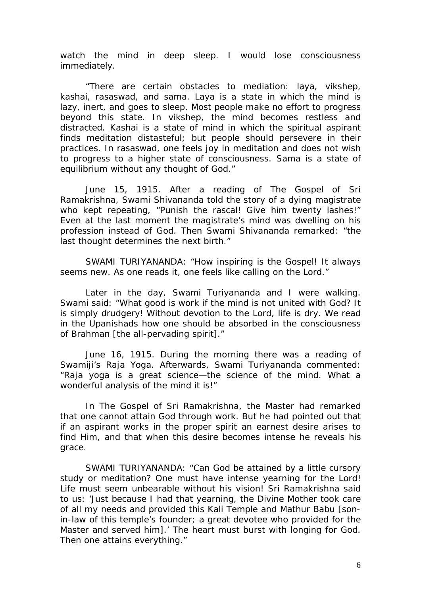watch the mind in deep sleep. I would lose consciousness immediately.

"There are certain obstacles to mediation: laya, vikshep, kashai, rasaswad, and sama. Laya is a state in which the mind is lazy, inert, and goes to sleep. Most people make no effort to progress beyond this state. In vikshep, the mind becomes restless and distracted. Kashai is a state of mind in which the spiritual aspirant finds meditation distasteful; but people should persevere in their practices. In rasaswad, one feels joy in meditation and does not wish to progress to a higher state of consciousness. Sama is a state of equilibrium without any thought of God."

June 15, 1915. After a reading of The Gospel of Sri Ramakrishna, Swami Shivananda told the story of a dying magistrate who kept repeating, "Punish the rascal! Give him twenty lashes!" Even at the last moment the magistrate's mind was dwelling on his profession instead of God. Then Swami Shivananda remarked: "the last thought determines the next birth."

SWAMI TURIYANANDA: "How inspiring is the Gospel! It always seems new. As one reads it, one feels like calling on the Lord."

Later in the day, Swami Turiyananda and I were walking. Swami said: "What good is work if the mind is not united with God? It is simply drudgery! Without devotion to the Lord, life is dry. We read in the Upanishads how one should be absorbed in the consciousness of Brahman [the all-pervading spirit]."

June 16, 1915. During the morning there was a reading of Swamiji's Raja Yoga. Afterwards, Swami Turiyananda commented: "Raja yoga is a great science—the science of the mind. What a wonderful analysis of the mind it is!"

In The Gospel of Sri Ramakrishna, the Master had remarked that one cannot attain God through work. But he had pointed out that if an aspirant works in the proper spirit an earnest desire arises to find Him, and that when this desire becomes intense he reveals his grace.

SWAMI TURIYANANDA: "Can God be attained by a little cursory study or meditation? One must have intense yearning for the Lord! Life must seem unbearable without his vision! Sri Ramakrishna said to us: 'Just because I had that yearning, the Divine Mother took care of all my needs and provided this Kali Temple and Mathur Babu [sonin-law of this temple's founder; a great devotee who provided for the Master and served him].' The heart must burst with longing for God. Then one attains everything."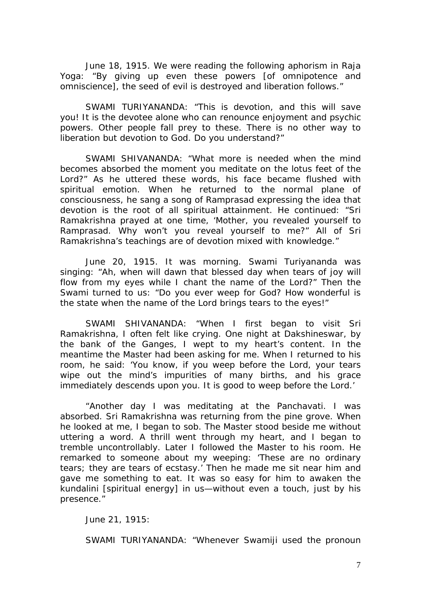June 18, 1915. We were reading the following aphorism in Raja Yoga: "By giving up even these powers [of omnipotence and omniscience], the seed of evil is destroyed and liberation follows."

SWAMI TURIYANANDA: "This is devotion, and this will save you! It is the devotee alone who can renounce enjoyment and psychic powers. Other people fall prey to these. There is no other way to liberation but devotion to God. Do you understand?"

SWAMI SHIVANANDA: "What more is needed when the mind becomes absorbed the moment you meditate on the lotus feet of the Lord?" As he uttered these words, his face became flushed with spiritual emotion. When he returned to the normal plane of consciousness, he sang a song of Ramprasad expressing the idea that devotion is the root of all spiritual attainment. He continued: "Sri Ramakrishna prayed at one time, 'Mother, you revealed yourself to Ramprasad. Why won't you reveal yourself to me?" All of Sri Ramakrishna's teachings are of devotion mixed with knowledge."

June 20, 1915. It was morning. Swami Turiyananda was singing: "Ah, when will dawn that blessed day when tears of joy will flow from my eyes while I chant the name of the Lord?" Then the Swami turned to us: "Do you ever weep for God? How wonderful is the state when the name of the Lord brings tears to the eyes!"

SWAMI SHIVANANDA: "When I first began to visit Sri Ramakrishna, I often felt like crying. One night at Dakshineswar, by the bank of the Ganges, I wept to my heart's content. In the meantime the Master had been asking for me. When I returned to his room, he said: 'You know, if you weep before the Lord, your tears wipe out the mind's impurities of many births, and his grace immediately descends upon you. It is good to weep before the Lord.'

"Another day I was meditating at the Panchavati. I was absorbed. Sri Ramakrishna was returning from the pine grove. When he looked at me, I began to sob. The Master stood beside me without uttering a word. A thrill went through my heart, and I began to tremble uncontrollably. Later I followed the Master to his room. He remarked to someone about my weeping: 'These are no ordinary tears; they are tears of ecstasy.' Then he made me sit near him and gave me something to eat. It was so easy for him to awaken the kundalini [spiritual energy] in us—without even a touch, just by his presence."

June 21, 1915:

SWAMI TURIYANANDA: "Whenever Swamiji used the pronoun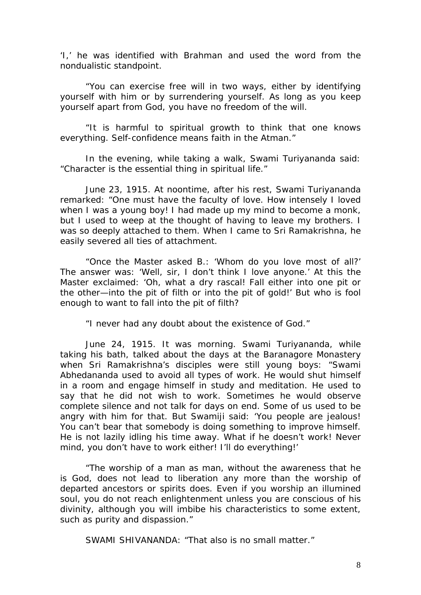'I,' he was identified with Brahman and used the word from the nondualistic standpoint.

"You can exercise free will in two ways, either by identifying yourself with him or by surrendering yourself. As long as you keep yourself apart from God, you have no freedom of the will.

"It is harmful to spiritual growth to think that one knows everything. Self-confidence means faith in the Atman."

In the evening, while taking a walk, Swami Turiyananda said: "Character is the essential thing in spiritual life."

June 23, 1915. At noontime, after his rest, Swami Turiyananda remarked: "One must have the faculty of love. How intensely I loved when I was a young boy! I had made up my mind to become a monk, but I used to weep at the thought of having to leave my brothers. I was so deeply attached to them. When I came to Sri Ramakrishna, he easily severed all ties of attachment.

"Once the Master asked B.: 'Whom do you love most of all?' The answer was: 'Well, sir, I don't think I love anyone.' At this the Master exclaimed: 'Oh, what a dry rascal! Fall either into one pit or the other—into the pit of filth or into the pit of gold!' But who is fool enough to want to fall into the pit of filth?

"I never had any doubt about the existence of God."

June 24, 1915. It was morning. Swami Turiyananda, while taking his bath, talked about the days at the Baranagore Monastery when Sri Ramakrishna's disciples were still young boys: "Swami Abhedananda used to avoid all types of work. He would shut himself in a room and engage himself in study and meditation. He used to say that he did not wish to work. Sometimes he would observe complete silence and not talk for days on end. Some of us used to be angry with him for that. But Swamiji said: 'You people are jealous! You can't bear that somebody is doing something to improve himself. He is not lazily idling his time away. What if he doesn't work! Never mind, you don't have to work either! I'll do everything!'

"The worship of a man as man, without the awareness that he is God, does not lead to liberation any more than the worship of departed ancestors or spirits does. Even if you worship an illumined soul, you do not reach enlightenment unless you are conscious of his divinity, although you will imbibe his characteristics to some extent, such as purity and dispassion."

SWAMI SHIVANANDA: "That also is no small matter."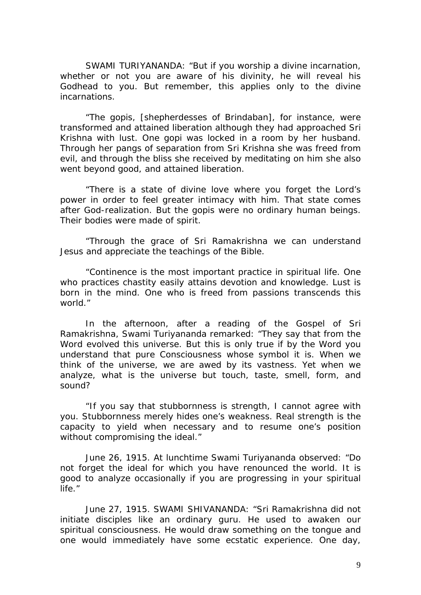SWAMI TURIYANANDA: "But if you worship a divine incarnation, whether or not you are aware of his divinity, he will reveal his Godhead to you. But remember, this applies only to the divine incarnations.

"The gopis, [shepherdesses of Brindaban], for instance, were transformed and attained liberation although they had approached Sri Krishna with lust. One gopi was locked in a room by her husband. Through her pangs of separation from Sri Krishna she was freed from evil, and through the bliss she received by meditating on him she also went beyond good, and attained liberation.

"There is a state of divine love where you forget the Lord's power in order to feel greater intimacy with him. That state comes after God-realization. But the gopis were no ordinary human beings. Their bodies were made of spirit.

"Through the grace of Sri Ramakrishna we can understand Jesus and appreciate the teachings of the Bible.

"Continence is the most important practice in spiritual life. One who practices chastity easily attains devotion and knowledge. Lust is born in the mind. One who is freed from passions transcends this world."

In the afternoon, after a reading of the Gospel of Sri Ramakrishna, Swami Turiyananda remarked: "They say that from the Word evolved this universe. But this is only true if by the Word you understand that pure Consciousness whose symbol it is. When we think of the universe, we are awed by its vastness. Yet when we analyze, what is the universe but touch, taste, smell, form, and sound?

"If you say that stubbornness is strength, I cannot agree with you. Stubbornness merely hides one's weakness. Real strength is the capacity to yield when necessary and to resume one's position without compromising the ideal."

June 26, 1915. At lunchtime Swami Turiyananda observed: "Do not forget the ideal for which you have renounced the world. It is good to analyze occasionally if you are progressing in your spiritual life."

June 27, 1915. SWAMI SHIVANANDA: "Sri Ramakrishna did not initiate disciples like an ordinary guru. He used to awaken our spiritual consciousness. He would draw something on the tongue and one would immediately have some ecstatic experience. One day,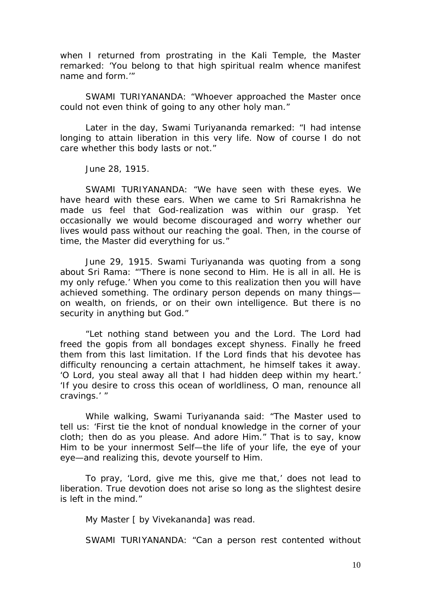when I returned from prostrating in the Kali Temple, the Master remarked: 'You belong to that high spiritual realm whence manifest name and form.'"

SWAMI TURIYANANDA: "Whoever approached the Master once could not even think of going to any other holy man."

Later in the day, Swami Turiyananda remarked: "I had intense longing to attain liberation in this very life. Now of course I do not care whether this body lasts or not."

June 28, 1915.

SWAMI TURIYANANDA: "We have seen with these eyes. We have heard with these ears. When we came to Sri Ramakrishna he made us feel that God-realization was within our grasp. Yet occasionally we would become discouraged and worry whether our lives would pass without our reaching the goal. Then, in the course of time, the Master did everything for us."

June 29, 1915. Swami Turiyananda was quoting from a song about Sri Rama: "'There is none second to Him. He is all in all. He is my only refuge.' When you come to this realization then you will have achieved something. The ordinary person depends on many things on wealth, on friends, or on their own intelligence. But there is no security in anything but God."

"Let nothing stand between you and the Lord. The Lord had freed the gopis from all bondages except shyness. Finally he freed them from this last limitation. If the Lord finds that his devotee has difficulty renouncing a certain attachment, he himself takes it away. 'O Lord, you steal away all that I had hidden deep within my heart.' 'If you desire to cross this ocean of worldliness, O man, renounce all cravings.' "

While walking, Swami Turiyananda said: "The Master used to tell us: 'First tie the knot of nondual knowledge in the corner of your cloth; then do as you please. And adore Him." That is to say, know Him to be your innermost Self—the life of your life, the eye of your eye—and realizing this, devote yourself to Him.

To pray, 'Lord, give me this, give me that,' does not lead to liberation. True devotion does not arise so long as the slightest desire is left in the mind."

My Master [ by Vivekananda] was read.

SWAMI TURIYANANDA: "Can a person rest contented without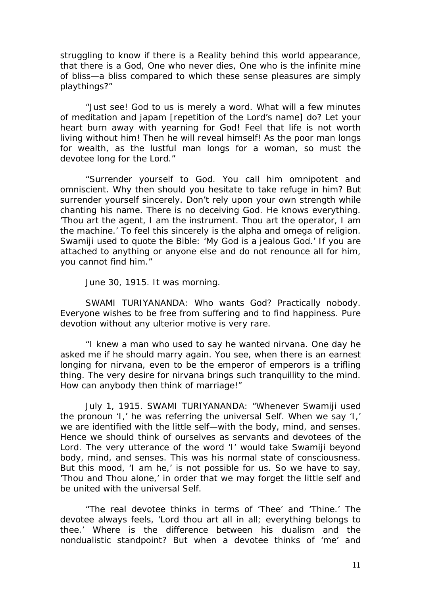struggling to know if there is a Reality behind this world appearance, that there is a God, One who never dies, One who is the infinite mine of bliss—a bliss compared to which these sense pleasures are simply playthings?"

"Just see! God to us is merely a word. What will a few minutes of meditation and japam [repetition of the Lord's name] do? Let your heart burn away with yearning for God! Feel that life is not worth living without him! Then he will reveal himself! As the poor man longs for wealth, as the lustful man longs for a woman, so must the devotee long for the Lord."

"Surrender yourself to God. You call him omnipotent and omniscient. Why then should you hesitate to take refuge in him? But surrender yourself sincerely. Don't rely upon your own strength while chanting his name. There is no deceiving God. He knows everything. 'Thou art the agent, I am the instrument. Thou art the operator, I am the machine.' To feel this sincerely is the alpha and omega of religion. Swamiji used to quote the Bible: 'My God is a jealous God.' If you are attached to anything or anyone else and do not renounce all for him, you cannot find him."

June 30, 1915. It was morning.

SWAMI TURIYANANDA: Who wants God? Practically nobody. Everyone wishes to be free from suffering and to find happiness. Pure devotion without any ulterior motive is very rare.

"I knew a man who used to say he wanted nirvana. One day he asked me if he should marry again. You see, when there is an earnest longing for nirvana, even to be the emperor of emperors is a trifling thing. The very desire for nirvana brings such tranquillity to the mind. How can anybody then think of marriage!"

July 1, 1915. SWAMI TURIYANANDA: "Whenever Swamiji used the pronoun 'I,' he was referring the universal Self. When we say 'I,' we are identified with the little self—with the body, mind, and senses. Hence we should think of ourselves as servants and devotees of the Lord. The very utterance of the word 'I' would take Swamiji beyond body, mind, and senses. This was his normal state of consciousness. But this mood, 'I am he,' is not possible for us. So we have to say, 'Thou and Thou alone,' in order that we may forget the little self and be united with the universal Self.

"The real devotee thinks in terms of 'Thee' and 'Thine.' The devotee always feels, 'Lord thou art all in all; everything belongs to thee.' Where is the difference between his dualism and the nondualistic standpoint? But when a devotee thinks of 'me' and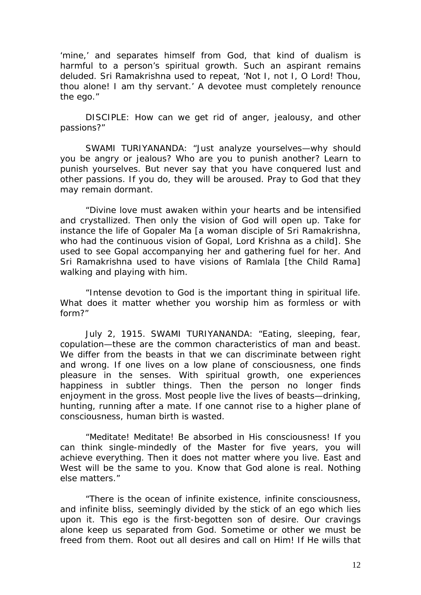'mine,' and separates himself from God, that kind of dualism is harmful to a person's spiritual growth. Such an aspirant remains deluded. Sri Ramakrishna used to repeat, 'Not I, not I, O Lord! Thou, thou alone! I am thy servant.' A devotee must completely renounce the ego."

DISCIPLE: How can we get rid of anger, jealousy, and other passions?"

SWAMI TURIYANANDA: "Just analyze yourselves—why should you be angry or jealous? Who are you to punish another? Learn to punish yourselves. But never say that you have conquered lust and other passions. If you do, they will be aroused. Pray to God that they may remain dormant.

"Divine love must awaken within your hearts and be intensified and crystallized. Then only the vision of God will open up. Take for instance the life of Gopaler Ma [a woman disciple of Sri Ramakrishna, who had the continuous vision of Gopal, Lord Krishna as a child]. She used to see Gopal accompanying her and gathering fuel for her. And Sri Ramakrishna used to have visions of Ramlala [the Child Rama] walking and playing with him.

"Intense devotion to God is the important thing in spiritual life. What does it matter whether you worship him as formless or with form?"

July 2, 1915. SWAMI TURIYANANDA: "Eating, sleeping, fear, copulation—these are the common characteristics of man and beast. We differ from the beasts in that we can discriminate between right and wrong. If one lives on a low plane of consciousness, one finds pleasure in the senses. With spiritual growth, one experiences happiness in subtler things. Then the person no longer finds enjoyment in the gross. Most people live the lives of beasts—drinking, hunting, running after a mate. If one cannot rise to a higher plane of consciousness, human birth is wasted.

"Meditate! Meditate! Be absorbed in His consciousness! If you can think single-mindedly of the Master for five years, you will achieve everything. Then it does not matter where you live. East and West will be the same to you. Know that God alone is real. Nothing else matters."

"There is the ocean of infinite existence, infinite consciousness, and infinite bliss, seemingly divided by the stick of an ego which lies upon it. This ego is the first-begotten son of desire. Our cravings alone keep us separated from God. Sometime or other we must be freed from them. Root out all desires and call on Him! If He wills that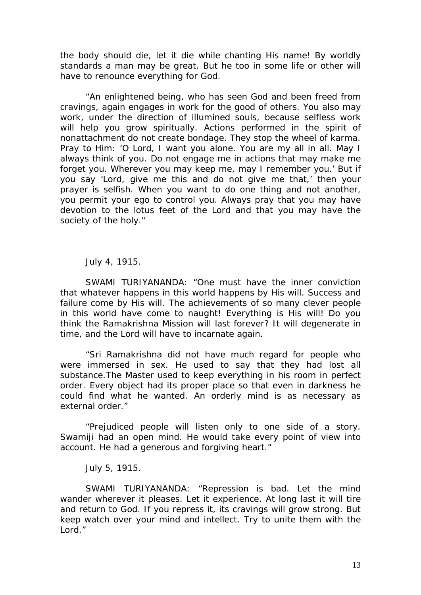the body should die, let it die while chanting His name! By worldly standards a man may be great. But he too in some life or other will have to renounce everything for God.

"An enlightened being, who has seen God and been freed from cravings, again engages in work for the good of others. You also may work, under the direction of illumined souls, because selfless work will help you grow spiritually. Actions performed in the spirit of nonattachment do not create bondage. They stop the wheel of karma. Pray to Him: 'O Lord, I want you alone. You are my all in all. May I always think of you. Do not engage me in actions that may make me forget you. Wherever you may keep me, may I remember you.' But if you say 'Lord, give me this and do not give me that,' then your prayer is selfish. When you want to do one thing and not another, you permit your ego to control you. Always pray that you may have devotion to the lotus feet of the Lord and that you may have the society of the holy."

## July 4, 1915.

SWAMI TURIYANANDA: "One must have the inner conviction that whatever happens in this world happens by His will. Success and failure come by His will. The achievements of so many clever people in this world have come to naught! Everything is His will! Do you think the Ramakrishna Mission will last forever? It will degenerate in time, and the Lord will have to incarnate again.

"Sri Ramakrishna did not have much regard for people who were immersed in sex. He used to say that they had lost all substance.The Master used to keep everything in his room in perfect order. Every object had its proper place so that even in darkness he could find what he wanted. An orderly mind is as necessary as external order."

"Prejudiced people will listen only to one side of a story. Swamiji had an open mind. He would take every point of view into account. He had a generous and forgiving heart."

## July 5, 1915.

SWAMI TURIYANANDA: "Repression is bad. Let the mind wander wherever it pleases. Let it experience. At long last it will tire and return to God. If you repress it, its cravings will grow strong. But keep watch over your mind and intellect. Try to unite them with the Lord."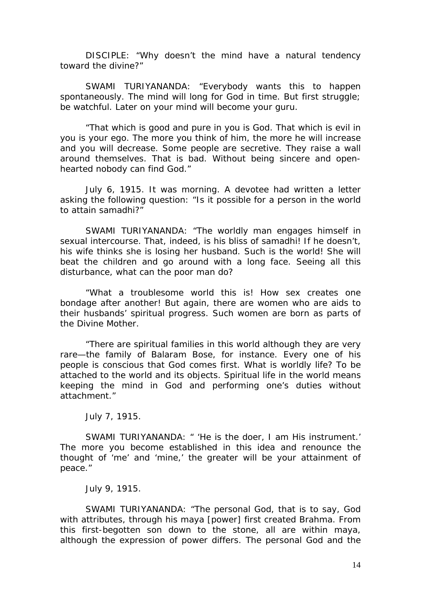DISCIPLE: "Why doesn't the mind have a natural tendency toward the divine?"

SWAMI TURIYANANDA: "Everybody wants this to happen spontaneously. The mind will long for God in time. But first struggle; be watchful. Later on your mind will become your guru.

"That which is good and pure in you is God. That which is evil in you is your ego. The more you think of him, the more he will increase and you will decrease. Some people are secretive. They raise a wall around themselves. That is bad. Without being sincere and openhearted nobody can find God."

July 6, 1915. It was morning. A devotee had written a letter asking the following question: "Is it possible for a person in the world to attain samadhi?"

SWAMI TURIYANANDA: "The worldly man engages himself in sexual intercourse. That, indeed, is his bliss of samadhi! If he doesn't, his wife thinks she is losing her husband. Such is the world! She will beat the children and go around with a long face. Seeing all this disturbance, what can the poor man do?

"What a troublesome world this is! How sex creates one bondage after another! But again, there are women who are aids to their husbands' spiritual progress. Such women are born as parts of the Divine Mother.

"There are spiritual families in this world although they are very rare—the family of Balaram Bose, for instance. Every one of his people is conscious that God comes first. What is worldly life? To be attached to the world and its objects. Spiritual life in the world means keeping the mind in God and performing one's duties without attachment."

July 7, 1915.

SWAMI TURIYANANDA: " 'He is the doer, I am His instrument.' The more you become established in this idea and renounce the thought of 'me' and 'mine,' the greater will be your attainment of peace."

July 9, 1915.

SWAMI TURIYANANDA: "The personal God, that is to say, God with attributes, through his maya [power] first created Brahma. From this first-begotten son down to the stone, all are within maya, although the expression of power differs. The personal God and the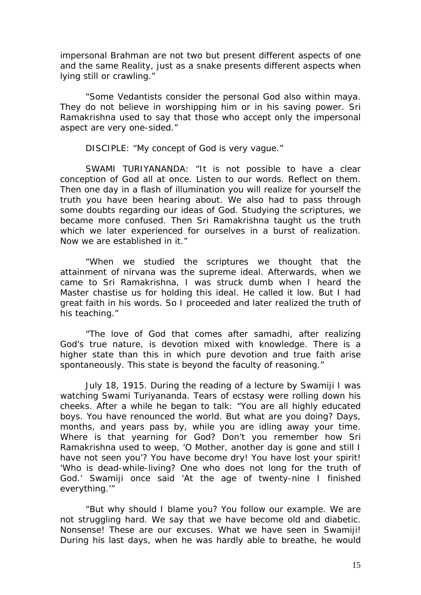impersonal Brahman are not two but present different aspects of one and the same Reality, just as a snake presents different aspects when lying still or crawling."

"Some Vedantists consider the personal God also within maya. They do not believe in worshipping him or in his saving power. Sri Ramakrishna used to say that those who accept only the impersonal aspect are very one-sided."

DISCIPLE: "My concept of God is very vague."

SWAMI TURIYANANDA: "It is not possible to have a clear conception of God all at once. Listen to our words. Reflect on them. Then one day in a flash of illumination you will realize for yourself the truth you have been hearing about. We also had to pass through some doubts regarding our ideas of God. Studying the scriptures, we became more confused. Then Sri Ramakrishna taught us the truth which we later experienced for ourselves in a burst of realization. Now we are established in it."

"When we studied the scriptures we thought that the attainment of nirvana was the supreme ideal. Afterwards, when we came to Sri Ramakrishna, I was struck dumb when I heard the Master chastise us for holding this ideal. He called it low. But I had great faith in his words. So I proceeded and later realized the truth of his teaching."

"The love of God that comes after samadhi, after realizing God's true nature, is devotion mixed with knowledge. There is a higher state than this in which pure devotion and true faith arise spontaneously. This state is beyond the faculty of reasoning."

July 18, 1915. During the reading of a lecture by Swamiji I was watching Swami Turiyananda. Tears of ecstasy were rolling down his cheeks. After a while he began to talk: "You are all highly educated boys. You have renounced the world. But what are you doing? Days, months, and years pass by, while you are idling away your time. Where is that yearning for God? Don't you remember how Sri Ramakrishna used to weep, 'O Mother, another day is gone and still I have not seen you'? You have become dry! You have lost your spirit! 'Who is dead-while-living? One who does not long for the truth of God.' Swamiji once said 'At the age of twenty-nine I finished everything.'"

"But why should I blame you? You follow our example. We are not struggling hard. We say that we have become old and diabetic. Nonsense! These are our excuses. What we have seen in Swamiji! During his last days, when he was hardly able to breathe, he would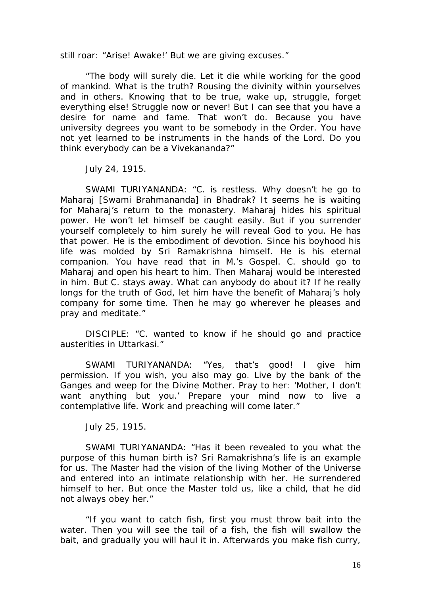still roar: "Arise! Awake!' But we are giving excuses."

"The body will surely die. Let it die while working for the good of mankind. What is the truth? Rousing the divinity within yourselves and in others. Knowing that to be true, wake up, struggle, forget everything else! Struggle now or never! But I can see that you have a desire for name and fame. That won't do. Because you have university degrees you want to be somebody in the Order. You have not yet learned to be instruments in the hands of the Lord. Do you think everybody can be a Vivekananda?"

July 24, 1915.

SWAMI TURIYANANDA: "C. is restless. Why doesn't he go to Maharaj [Swami Brahmananda] in Bhadrak? It seems he is waiting for Maharaj's return to the monastery. Maharaj hides his spiritual power. He won't let himself be caught easily. But if you surrender yourself completely to him surely he will reveal God to you. He has that power. He is the embodiment of devotion. Since his boyhood his life was molded by Sri Ramakrishna himself. He is his eternal companion. You have read that in M.'s Gospel. C. should go to Maharaj and open his heart to him. Then Maharaj would be interested in him. But C. stays away. What can anybody do about it? If he really longs for the truth of God, let him have the benefit of Maharaj's holy company for some time. Then he may go wherever he pleases and pray and meditate."

DISCIPLE: "C. wanted to know if he should go and practice austerities in Uttarkasi."

SWAMI TURIYANANDA: "Yes, that's good! I give him permission. If you wish, you also may go. Live by the bank of the Ganges and weep for the Divine Mother. Pray to her: 'Mother, I don't want anything but you.' Prepare your mind now to live a contemplative life. Work and preaching will come later."

July 25, 1915.

SWAMI TURIYANANDA: "Has it been revealed to you what the purpose of this human birth is? Sri Ramakrishna's life is an example for us. The Master had the vision of the living Mother of the Universe and entered into an intimate relationship with her. He surrendered himself to her. But once the Master told us, like a child, that he did not always obey her."

"If you want to catch fish, first you must throw bait into the water. Then you will see the tail of a fish, the fish will swallow the bait, and gradually you will haul it in. Afterwards you make fish curry,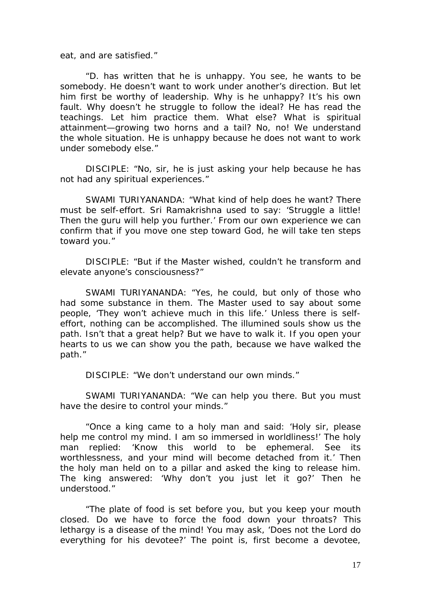eat, and are satisfied."

"D. has written that he is unhappy. You see, he wants to be somebody. He doesn't want to work under another's direction. But let him first be worthy of leadership. Why is he unhappy? It's his own fault. Why doesn't he struggle to follow the ideal? He has read the teachings. Let him practice them. What else? What is spiritual attainment—growing two horns and a tail? No, no! We understand the whole situation. He is unhappy because he does not want to work under somebody else."

DISCIPLE: "No, sir, he is just asking your help because he has not had any spiritual experiences."

SWAMI TURIYANANDA: "What kind of help does he want? There must be self-effort. Sri Ramakrishna used to say: 'Struggle a little! Then the guru will help you further.' From our own experience we can confirm that if you move one step toward God, he will take ten steps toward you."

DISCIPLE: "But if the Master wished, couldn't he transform and elevate anyone's consciousness?"

SWAMI TURIYANANDA: "Yes, he could, but only of those who had some substance in them. The Master used to say about some people, 'They won't achieve much in this life.' Unless there is selfeffort, nothing can be accomplished. The illumined souls show us the path. Isn't that a great help? But we have to walk it. If you open your hearts to us we can show you the path, because we have walked the path."

DISCIPLE: "We don't understand our own minds."

SWAMI TURIYANANDA: "We can help you there. But you must have the desire to control your minds."

"Once a king came to a holy man and said: 'Holy sir, please help me control my mind. I am so immersed in worldliness!' The holy man replied: 'Know this world to be ephemeral. See its worthlessness, and your mind will become detached from it.' Then the holy man held on to a pillar and asked the king to release him. The king answered: 'Why don't you just let it go?' Then he understood."

"The plate of food is set before you, but you keep your mouth closed. Do we have to force the food down your throats? This lethargy is a disease of the mind! You may ask, 'Does not the Lord do everything for his devotee?' The point is, first become a devotee,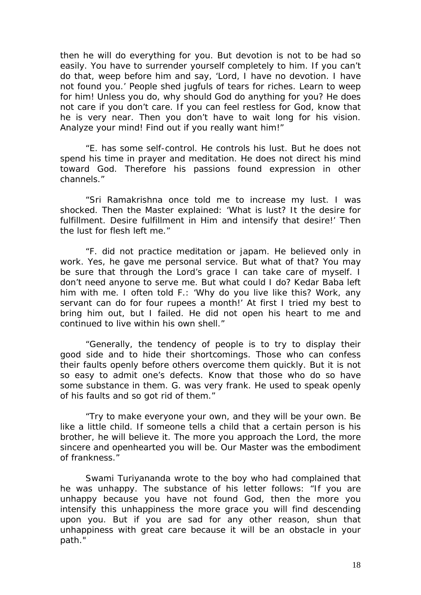then he will do everything for you. But devotion is not to be had so easily. You have to surrender yourself completely to him. If you can't do that, weep before him and say, 'Lord, I have no devotion. I have not found you.' People shed jugfuls of tears for riches. Learn to weep for him! Unless you do, why should God do anything for you? He does not care if you don't care. If you can feel restless for God, know that he is very near. Then you don't have to wait long for his vision. Analyze your mind! Find out if you really want him!"

"E. has some self-control. He controls his lust. But he does not spend his time in prayer and meditation. He does not direct his mind toward God. Therefore his passions found expression in other channels."

"Sri Ramakrishna once told me to increase my lust. I was shocked. Then the Master explained: 'What is lust? It the desire for fulfillment. Desire fulfillment in Him and intensify that desire!' Then the lust for flesh left me."

"F. did not practice meditation or japam. He believed only in work. Yes, he gave me personal service. But what of that? You may be sure that through the Lord's grace I can take care of myself. I don't need anyone to serve me. But what could I do? Kedar Baba left him with me. I often told F.: 'Why do you live like this? Work, any servant can do for four rupees a month!' At first I tried my best to bring him out, but I failed. He did not open his heart to me and continued to live within his own shell."

"Generally, the tendency of people is to try to display their good side and to hide their shortcomings. Those who can confess their faults openly before others overcome them quickly. But it is not so easy to admit one's defects. Know that those who do so have some substance in them. G. was very frank. He used to speak openly of his faults and so got rid of them."

"Try to make everyone your own, and they will be your own. Be like a little child. If someone tells a child that a certain person is his brother, he will believe it. The more you approach the Lord, the more sincere and openhearted you will be. Our Master was the embodiment of frankness."

Swami Turiyananda wrote to the boy who had complained that he was unhappy. The substance of his letter follows: "If you are unhappy because you have not found God, then the more you intensify this unhappiness the more grace you will find descending upon you. But if you are sad for any other reason, shun that unhappiness with great care because it will be an obstacle in your path."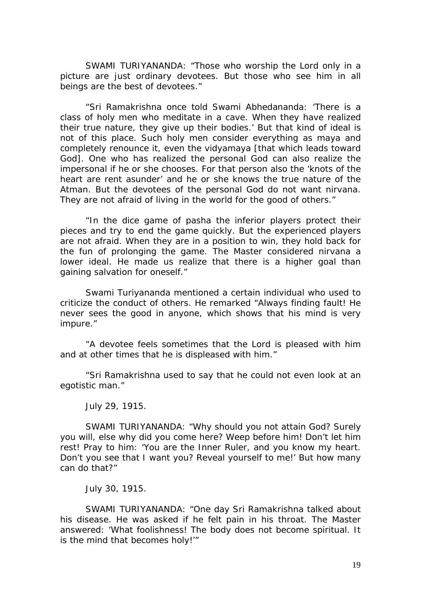SWAMI TURIYANANDA: "Those who worship the Lord only in a picture are just ordinary devotees. But those who see him in all beings are the best of devotees."

"Sri Ramakrishna once told Swami Abhedananda: 'There is a class of holy men who meditate in a cave. When they have realized their true nature, they give up their bodies.' But that kind of ideal is not of this place. Such holy men consider everything as maya and completely renounce it, even the vidyamaya [that which leads toward God]. One who has realized the personal God can also realize the impersonal if he or she chooses. For that person also the 'knots of the heart are rent asunder' and he or she knows the true nature of the Atman. But the devotees of the personal God do not want nirvana. They are not afraid of living in the world for the good of others."

"In the dice game of pasha the inferior players protect their pieces and try to end the game quickly. But the experienced players are not afraid. When they are in a position to win, they hold back for the fun of prolonging the game. The Master considered nirvana a lower ideal. He made us realize that there is a higher goal than gaining salvation for oneself."

Swami Turiyananda mentioned a certain individual who used to criticize the conduct of others. He remarked "Always finding fault! He never sees the good in anyone, which shows that his mind is very impure."

"A devotee feels sometimes that the Lord is pleased with him and at other times that he is displeased with him."

"Sri Ramakrishna used to say that he could not even look at an egotistic man."

July 29, 1915.

SWAMI TURIYANANDA: "Why should you not attain God? Surely you will, else why did you come here? Weep before him! Don't let him rest! Pray to him: 'You are the Inner Ruler, and you know my heart. Don't you see that I want you? Reveal yourself to me!' But how many can do that?"

July 30, 1915.

SWAMI TURIYANANDA: "One day Sri Ramakrishna talked about his disease. He was asked if he felt pain in his throat. The Master answered: 'What foolishness! The body does not become spiritual. It is the mind that becomes holy!'"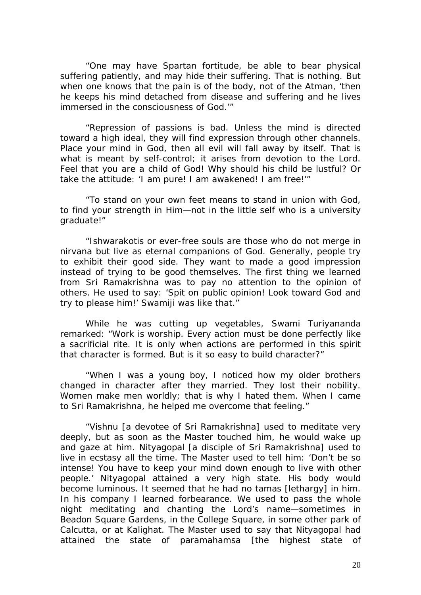"One may have Spartan fortitude, be able to bear physical suffering patiently, and may hide their suffering. That is nothing. But when one knows that the pain is of the body, not of the Atman, 'then he keeps his mind detached from disease and suffering and he lives immersed in the consciousness of God.'"

"Repression of passions is bad. Unless the mind is directed toward a high ideal, they will find expression through other channels. Place your mind in God, then all evil will fall away by itself. That is what is meant by self-control; it arises from devotion to the Lord. Feel that you are a child of God! Why should his child be lustful? Or take the attitude: 'I am pure! I am awakened! I am free!'"

"To stand on your own feet means to stand in union with God, to find your strength in Him—not in the little self who is a university graduate!"

"Ishwarakotis or ever-free souls are those who do not merge in nirvana but live as eternal companions of God. Generally, people try to exhibit their good side. They want to made a good impression instead of trying to be good themselves. The first thing we learned from Sri Ramakrishna was to pay no attention to the opinion of others. He used to say: 'Spit on public opinion! Look toward God and try to please him!' Swamiji was like that."

While he was cutting up vegetables, Swami Turiyananda remarked: "Work is worship. Every action must be done perfectly like a sacrificial rite. It is only when actions are performed in this spirit that character is formed. But is it so easy to build character?"

"When I was a young boy, I noticed how my older brothers changed in character after they married. They lost their nobility. Women make men worldly; that is why I hated them. When I came to Sri Ramakrishna, he helped me overcome that feeling."

"Vishnu [a devotee of Sri Ramakrishna] used to meditate very deeply, but as soon as the Master touched him, he would wake up and gaze at him. Nityagopal [a disciple of Sri Ramakrishna] used to live in ecstasy all the time. The Master used to tell him: 'Don't be so intense! You have to keep your mind down enough to live with other people.' Nityagopal attained a very high state. His body would become luminous. It seemed that he had no tamas [lethargy] in him. In his company I learned forbearance. We used to pass the whole night meditating and chanting the Lord's name—sometimes in Beadon Square Gardens, in the College Square, in some other park of Calcutta, or at Kalighat. The Master used to say that Nityagopal had attained the state of paramahamsa [the highest state of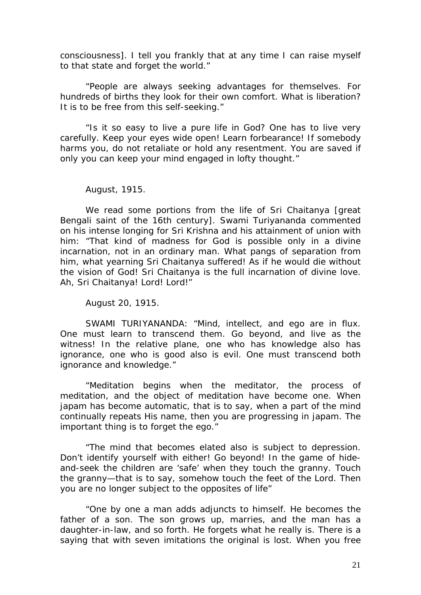consciousness]. I tell you frankly that at any time I can raise myself to that state and forget the world."

"People are always seeking advantages for themselves. For hundreds of births they look for their own comfort. What is liberation? It is to be free from this self-seeking."

"Is it so easy to live a pure life in God? One has to live very carefully. Keep your eyes wide open! Learn forbearance! If somebody harms you, do not retaliate or hold any resentment. You are saved if only you can keep your mind engaged in lofty thought."

August, 1915.

We read some portions from the life of Sri Chaitanya [great Bengali saint of the 16th century]. Swami Turiyananda commented on his intense longing for Sri Krishna and his attainment of union with him: "That kind of madness for God is possible only in a divine incarnation, not in an ordinary man. What pangs of separation from him, what yearning Sri Chaitanya suffered! As if he would die without the vision of God! Sri Chaitanya is the full incarnation of divine love. Ah, Sri Chaitanya! Lord! Lord!"

August 20, 1915.

SWAMI TURIYANANDA: "Mind, intellect, and ego are in flux. One must learn to transcend them. Go beyond, and live as the witness! In the relative plane, one who has knowledge also has ignorance, one who is good also is evil. One must transcend both ignorance and knowledge."

"Meditation begins when the meditator, the process of meditation, and the object of meditation have become one. When japam has become automatic, that is to say, when a part of the mind continually repeats His name, then you are progressing in japam. The important thing is to forget the ego."

"The mind that becomes elated also is subject to depression. Don't identify yourself with either! Go beyond! In the game of hideand-seek the children are 'safe' when they touch the granny. Touch the granny—that is to say, somehow touch the feet of the Lord. Then you are no longer subject to the opposites of life"

"One by one a man adds adjuncts to himself. He becomes the father of a son. The son grows up, marries, and the man has a daughter-in-law, and so forth. He forgets what he really is. There is a saying that with seven imitations the original is lost. When you free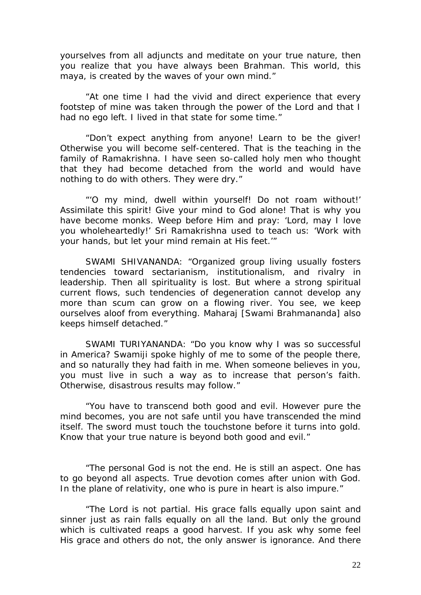yourselves from all adjuncts and meditate on your true nature, then you realize that you have always been Brahman. This world, this maya, is created by the waves of your own mind."

"At one time I had the vivid and direct experience that every footstep of mine was taken through the power of the Lord and that I had no ego left. I lived in that state for some time."

"Don't expect anything from anyone! Learn to be the giver! Otherwise you will become self-centered. That is the teaching in the family of Ramakrishna. I have seen so-called holy men who thought that they had become detached from the world and would have nothing to do with others. They were dry."

"'O my mind, dwell within yourself! Do not roam without!' Assimilate this spirit! Give your mind to God alone! That is why you have become monks. Weep before Him and pray: 'Lord, may I love you wholeheartedly!' Sri Ramakrishna used to teach us: 'Work with your hands, but let your mind remain at His feet.'"

SWAMI SHIVANANDA: "Organized group living usually fosters tendencies toward sectarianism, institutionalism, and rivalry in leadership. Then all spirituality is lost. But where a strong spiritual current flows, such tendencies of degeneration cannot develop any more than scum can grow on a flowing river. You see, we keep ourselves aloof from everything. Maharaj [Swami Brahmananda] also keeps himself detached."

SWAMI TURIYANANDA: "Do you know why I was so successful in America? Swamiji spoke highly of me to some of the people there, and so naturally they had faith in me. When someone believes in you, you must live in such a way as to increase that person's faith. Otherwise, disastrous results may follow."

"You have to transcend both good and evil. However pure the mind becomes, you are not safe until you have transcended the mind itself. The sword must touch the touchstone before it turns into gold. Know that your true nature is beyond both good and evil."

"The personal God is not the end. He is still an aspect. One has to go beyond all aspects. True devotion comes after union with God. In the plane of relativity, one who is pure in heart is also impure."

"The Lord is not partial. His grace falls equally upon saint and sinner just as rain falls equally on all the land. But only the ground which is cultivated reaps a good harvest. If you ask why some feel His grace and others do not, the only answer is ignorance. And there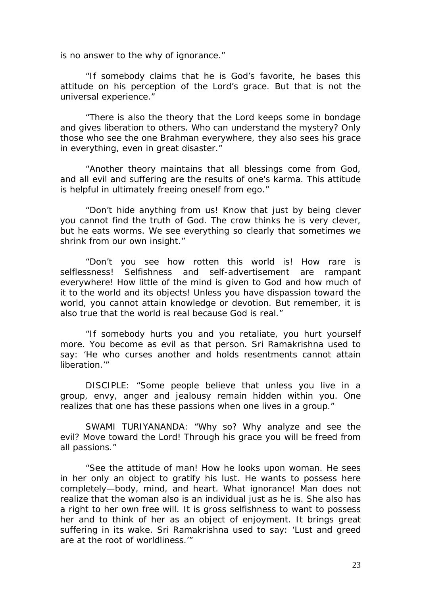is no answer to the why of ignorance."

"If somebody claims that he is God's favorite, he bases this attitude on his perception of the Lord's grace. But that is not the universal experience."

"There is also the theory that the Lord keeps some in bondage and gives liberation to others. Who can understand the mystery? Only those who see the one Brahman everywhere, they also sees his grace in everything, even in great disaster."

"Another theory maintains that all blessings come from God, and all evil and suffering are the results of one's karma. This attitude is helpful in ultimately freeing oneself from ego."

"Don't hide anything from us! Know that just by being clever you cannot find the truth of God. The crow thinks he is very clever, but he eats worms. We see everything so clearly that sometimes we shrink from our own insight."

"Don't you see how rotten this world is! How rare is selflessness! Selfishness and self-advertisement are rampant everywhere! How little of the mind is given to God and how much of it to the world and its objects! Unless you have dispassion toward the world, you cannot attain knowledge or devotion. But remember, it is also true that the world is real because God is real."

"If somebody hurts you and you retaliate, you hurt yourself more. You become as evil as that person. Sri Ramakrishna used to say: 'He who curses another and holds resentments cannot attain liberation<sup>"</sup>

DISCIPLE: "Some people believe that unless you live in a group, envy, anger and jealousy remain hidden within you. One realizes that one has these passions when one lives in a group."

SWAMI TURIYANANDA: "Why so? Why analyze and see the evil? Move toward the Lord! Through his grace you will be freed from all passions."

"See the attitude of man! How he looks upon woman. He sees in her only an object to gratify his lust. He wants to possess here completely—body, mind, and heart. What ignorance! Man does not realize that the woman also is an individual just as he is. She also has a right to her own free will. It is gross selfishness to want to possess her and to think of her as an object of enjoyment. It brings great suffering in its wake. Sri Ramakrishna used to say: 'Lust and greed are at the root of worldliness.'"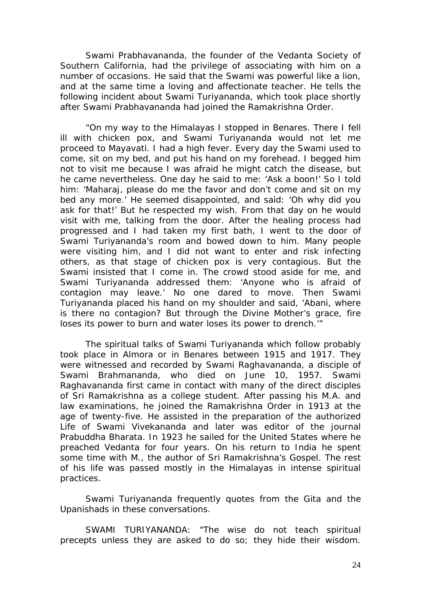Swami Prabhavananda, the founder of the Vedanta Society of Southern California, had the privilege of associating with him on a number of occasions. He said that the Swami was powerful like a lion, and at the same time a loving and affectionate teacher. He tells the following incident about Swami Turiyananda, which took place shortly after Swami Prabhavananda had joined the Ramakrishna Order.

"On my way to the Himalayas I stopped in Benares. There I fell ill with chicken pox, and Swami Turiyananda would not let me proceed to Mayavati. I had a high fever. Every day the Swami used to come, sit on my bed, and put his hand on my forehead. I begged him not to visit me because I was afraid he might catch the disease, but he came nevertheless. One day he said to me: 'Ask a boon!' So I told him: 'Maharaj, please do me the favor and don't come and sit on my bed any more.' He seemed disappointed, and said: 'Oh why did you ask for that!' But he respected my wish. From that day on he would visit with me, talking from the door. After the healing process had progressed and I had taken my first bath, I went to the door of Swami Turiyananda's room and bowed down to him. Many people were visiting him, and I did not want to enter and risk infecting others, as that stage of chicken pox is very contagious. But the Swami insisted that I come in. The crowd stood aside for me, and Swami Turiyananda addressed them: 'Anyone who is afraid of contagion may leave.' No one dared to move. Then Swami Turiyananda placed his hand on my shoulder and said, 'Abani, where is there no contagion? But through the Divine Mother's grace, fire loses its power to burn and water loses its power to drench.'"

The spiritual talks of Swami Turiyananda which follow probably took place in Almora or in Benares between 1915 and 1917. They were witnessed and recorded by Swami Raghavananda, a disciple of Swami Brahmananda, who died on June 10, 1957. Swami Raghavananda first came in contact with many of the direct disciples of Sri Ramakrishna as a college student. After passing his M.A. and law examinations, he joined the Ramakrishna Order in 1913 at the age of twenty-five. He assisted in the preparation of the authorized Life of Swami Vivekananda and later was editor of the journal Prabuddha Bharata. In 1923 he sailed for the United States where he preached Vedanta for four years. On his return to India he spent some time with M., the author of Sri Ramakrishna's Gospel. The rest of his life was passed mostly in the Himalayas in intense spiritual practices.

Swami Turiyananda frequently quotes from the Gita and the Upanishads in these conversations.

SWAMI TURIYANANDA: "The wise do not teach spiritual precepts unless they are asked to do so; they hide their wisdom.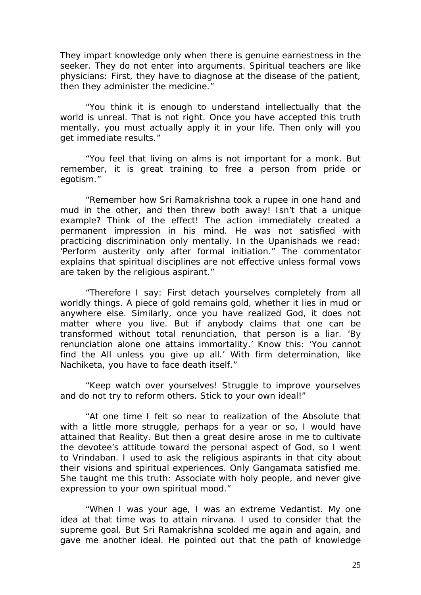They impart knowledge only when there is genuine earnestness in the seeker. They do not enter into arguments. Spiritual teachers are like physicians: First, they have to diagnose at the disease of the patient, then they administer the medicine."

"You think it is enough to understand intellectually that the world is unreal. That is not right. Once you have accepted this truth mentally, you must actually apply it in your life. Then only will you get immediate results."

"You feel that living on alms is not important for a monk. But remember, it is great training to free a person from pride or egotism."

"Remember how Sri Ramakrishna took a rupee in one hand and mud in the other, and then threw both away! Isn't that a unique example? Think of the effect! The action immediately created a permanent impression in his mind. He was not satisfied with practicing discrimination only mentally. In the Upanishads we read: 'Perform austerity only after formal initiation." The commentator explains that spiritual disciplines are not effective unless formal vows are taken by the religious aspirant."

"Therefore I say: First detach yourselves completely from all worldly things. A piece of gold remains gold, whether it lies in mud or anywhere else. Similarly, once you have realized God, it does not matter where you live. But if anybody claims that one can be transformed without total renunciation, that person is a liar. 'By renunciation alone one attains immortality.' Know this: 'You cannot find the All unless you give up all.' With firm determination, like Nachiketa, you have to face death itself."

"Keep watch over yourselves! Struggle to improve yourselves and do not try to reform others. Stick to your own ideal!"

"At one time I felt so near to realization of the Absolute that with a little more struggle, perhaps for a year or so, I would have attained that Reality. But then a great desire arose in me to cultivate the devotee's attitude toward the personal aspect of God, so I went to Vrindaban. I used to ask the religious aspirants in that city about their visions and spiritual experiences. Only Gangamata satisfied me. She taught me this truth: Associate with holy people, and never give expression to your own spiritual mood."

"When I was your age, I was an extreme Vedantist. My one idea at that time was to attain nirvana. I used to consider that the supreme goal. But Sri Ramakrishna scolded me again and again, and gave me another ideal. He pointed out that the path of knowledge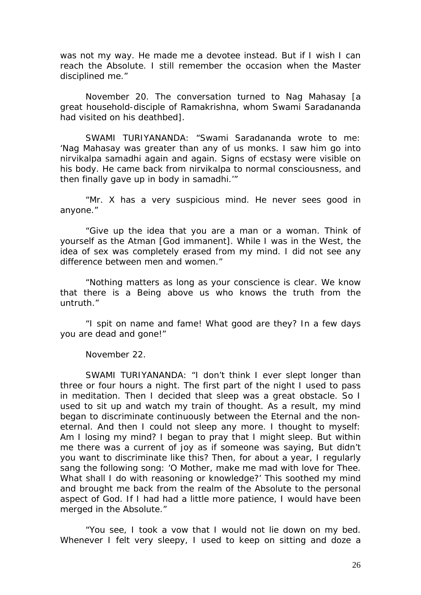was not my way. He made me a devotee instead. But if I wish I can reach the Absolute. I still remember the occasion when the Master disciplined me."

November 20. The conversation turned to Nag Mahasay [a great household-disciple of Ramakrishna, whom Swami Saradananda had visited on his deathbed].

SWAMI TURIYANANDA: "Swami Saradananda wrote to me: 'Nag Mahasay was greater than any of us monks. I saw him go into nirvikalpa samadhi again and again. Signs of ecstasy were visible on his body. He came back from nirvikalpa to normal consciousness, and then finally gave up in body in samadhi.'"

"Mr. X has a very suspicious mind. He never sees good in anyone."

"Give up the idea that you are a man or a woman. Think of yourself as the Atman [God immanent]. While I was in the West, the idea of sex was completely erased from my mind. I did not see any difference between men and women."

"Nothing matters as long as your conscience is clear. We know that there is a Being above us who knows the truth from the untruth."

"I spit on name and fame! What good are they? In a few days you are dead and gone!"

November 22.

SWAMI TURIYANANDA: "I don't think I ever slept longer than three or four hours a night. The first part of the night I used to pass in meditation. Then I decided that sleep was a great obstacle. So I used to sit up and watch my train of thought. As a result, my mind began to discriminate continuously between the Eternal and the noneternal. And then I could not sleep any more. I thought to myself: Am I losing my mind? I began to pray that I might sleep. But within me there was a current of joy as if someone was saying, But didn't you want to discriminate like this? Then, for about a year, I regularly sang the following song: 'O Mother, make me mad with love for Thee. What shall I do with reasoning or knowledge?' This soothed my mind and brought me back from the realm of the Absolute to the personal aspect of God. If I had had a little more patience, I would have been merged in the Absolute."

"You see, I took a vow that I would not lie down on my bed. Whenever I felt very sleepy, I used to keep on sitting and doze a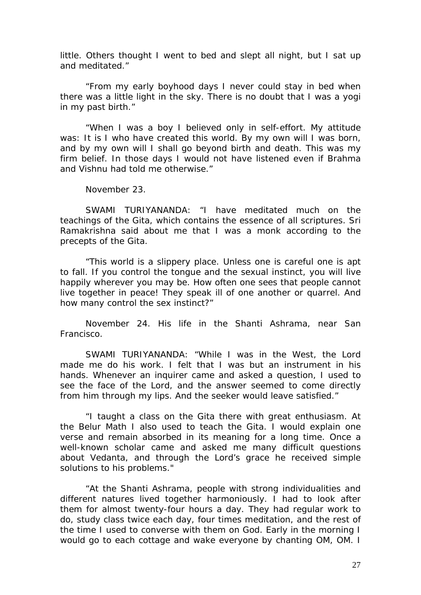little. Others thought I went to bed and slept all night, but I sat up and meditated."

"From my early boyhood days I never could stay in bed when there was a little light in the sky. There is no doubt that I was a yogi in my past birth."

"When I was a boy I believed only in self-effort. My attitude was: It is I who have created this world. By my own will I was born, and by my own will I shall go beyond birth and death. This was my firm belief. In those days I would not have listened even if Brahma and Vishnu had told me otherwise."

November 23.

SWAMI TURIYANANDA: "I have meditated much on the teachings of the Gita, which contains the essence of all scriptures. Sri Ramakrishna said about me that I was a monk according to the precepts of the Gita.

"This world is a slippery place. Unless one is careful one is apt to fall. If you control the tongue and the sexual instinct, you will live happily wherever you may be. How often one sees that people cannot live together in peace! They speak ill of one another or quarrel. And how many control the sex instinct?"

November 24. His life in the Shanti Ashrama, near San Francisco.

SWAMI TURIYANANDA: "While I was in the West, the Lord made me do his work. I felt that I was but an instrument in his hands. Whenever an inquirer came and asked a question, I used to see the face of the Lord, and the answer seemed to come directly from him through my lips. And the seeker would leave satisfied."

"I taught a class on the Gita there with great enthusiasm. At the Belur Math I also used to teach the Gita. I would explain one verse and remain absorbed in its meaning for a long time. Once a well-known scholar came and asked me many difficult questions about Vedanta, and through the Lord's grace he received simple solutions to his problems."

"At the Shanti Ashrama, people with strong individualities and different natures lived together harmoniously. I had to look after them for almost twenty-four hours a day. They had regular work to do, study class twice each day, four times meditation, and the rest of the time I used to converse with them on God. Early in the morning I would go to each cottage and wake everyone by chanting OM, OM. I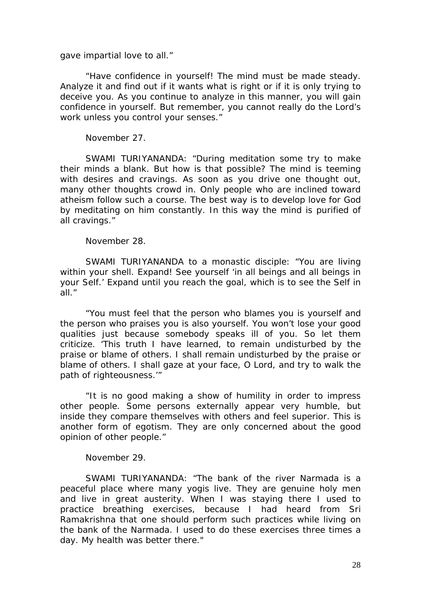gave impartial love to all."

"Have confidence in yourself! The mind must be made steady. Analyze it and find out if it wants what is right or if it is only trying to deceive you. As you continue to analyze in this manner, you will gain confidence in yourself. But remember, you cannot really do the Lord's work unless you control your senses."

November 27.

SWAMI TURIYANANDA: "During meditation some try to make their minds a blank. But how is that possible? The mind is teeming with desires and cravings. As soon as you drive one thought out, many other thoughts crowd in. Only people who are inclined toward atheism follow such a course. The best way is to develop love for God by meditating on him constantly. In this way the mind is purified of all cravings."

November 28.

SWAMI TURIYANANDA to a monastic disciple: "You are living within your shell. Expand! See yourself 'in all beings and all beings in your Self.' Expand until you reach the goal, which is to see the Self in all."

"You must feel that the person who blames you is yourself and the person who praises you is also yourself. You won't lose your good qualities just because somebody speaks ill of you. So let them criticize. 'This truth I have learned, to remain undisturbed by the praise or blame of others. I shall remain undisturbed by the praise or blame of others. I shall gaze at your face, O Lord, and try to walk the path of righteousness.'"

"It is no good making a show of humility in order to impress other people. Some persons externally appear very humble, but inside they compare themselves with others and feel superior. This is another form of egotism. They are only concerned about the good opinion of other people."

November 29.

SWAMI TURIYANANDA: "The bank of the river Narmada is a peaceful place where many yogis live. They are genuine holy men and live in great austerity. When I was staying there I used to practice breathing exercises, because I had heard from Sri Ramakrishna that one should perform such practices while living on the bank of the Narmada. I used to do these exercises three times a day. My health was better there."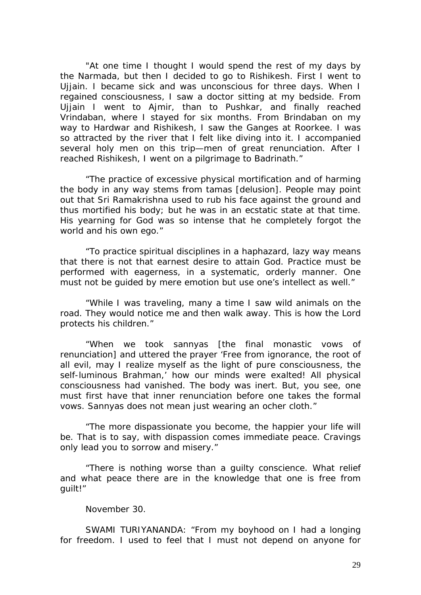"At one time I thought I would spend the rest of my days by the Narmada, but then I decided to go to Rishikesh. First I went to Ujjain. I became sick and was unconscious for three days. When I regained consciousness, I saw a doctor sitting at my bedside. From Ujjain I went to Ajmir, than to Pushkar, and finally reached Vrindaban, where I stayed for six months. From Brindaban on my way to Hardwar and Rishikesh, I saw the Ganges at Roorkee. I was so attracted by the river that I felt like diving into it. I accompanied several holy men on this trip—men of great renunciation. After I reached Rishikesh, I went on a pilgrimage to Badrinath."

"The practice of excessive physical mortification and of harming the body in any way stems from tamas [delusion]. People may point out that Sri Ramakrishna used to rub his face against the ground and thus mortified his body; but he was in an ecstatic state at that time. His yearning for God was so intense that he completely forgot the world and his own ego."

"To practice spiritual disciplines in a haphazard, lazy way means that there is not that earnest desire to attain God. Practice must be performed with eagerness, in a systematic, orderly manner. One must not be guided by mere emotion but use one's intellect as well."

"While I was traveling, many a time I saw wild animals on the road. They would notice me and then walk away. This is how the Lord protects his children."

"When we took sannyas [the final monastic vows of renunciation] and uttered the prayer 'Free from ignorance, the root of all evil, may I realize myself as the light of pure consciousness, the self-luminous Brahman,' how our minds were exalted! All physical consciousness had vanished. The body was inert. But, you see, one must first have that inner renunciation before one takes the formal vows. Sannyas does not mean just wearing an ocher cloth."

"The more dispassionate you become, the happier your life will be. That is to say, with dispassion comes immediate peace. Cravings only lead you to sorrow and misery."

"There is nothing worse than a guilty conscience. What relief and what peace there are in the knowledge that one is free from guilt!"

November 30.

SWAMI TURIYANANDA: "From my boyhood on I had a longing for freedom. I used to feel that I must not depend on anyone for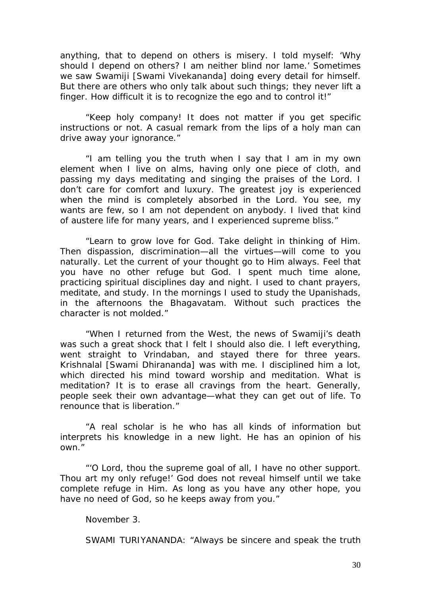anything, that to depend on others is misery. I told myself: 'Why should I depend on others? I am neither blind nor lame.' Sometimes we saw Swamiji [Swami Vivekananda] doing every detail for himself. But there are others who only talk about such things; they never lift a finger. How difficult it is to recognize the ego and to control it!"

"Keep holy company! It does not matter if you get specific instructions or not. A casual remark from the lips of a holy man can drive away your ignorance."

"I am telling you the truth when I say that I am in my own element when I live on alms, having only one piece of cloth, and passing my days meditating and singing the praises of the Lord. I don't care for comfort and luxury. The greatest joy is experienced when the mind is completely absorbed in the Lord. You see, my wants are few, so I am not dependent on anybody. I lived that kind of austere life for many years, and I experienced supreme bliss."

"Learn to grow love for God. Take delight in thinking of Him. Then dispassion, discrimination—all the virtues—will come to you naturally. Let the current of your thought go to Him always. Feel that you have no other refuge but God. I spent much time alone, practicing spiritual disciplines day and night. I used to chant prayers, meditate, and study. In the mornings I used to study the Upanishads, in the afternoons the Bhagavatam. Without such practices the character is not molded."

"When I returned from the West, the news of Swamiji's death was such a great shock that I felt I should also die. I left everything, went straight to Vrindaban, and stayed there for three years. Krishnalal [Swami Dhirananda] was with me. I disciplined him a lot, which directed his mind toward worship and meditation. What is meditation? It is to erase all cravings from the heart. Generally, people seek their own advantage—what they can get out of life. To renounce that is liberation."

"A real scholar is he who has all kinds of information but interprets his knowledge in a new light. He has an opinion of his own."

"'O Lord, thou the supreme goal of all, I have no other support. Thou art my only refuge!' God does not reveal himself until we take complete refuge in Him. As long as you have any other hope, you have no need of God, so he keeps away from you."

November 3.

SWAMI TURIYANANDA: "Always be sincere and speak the truth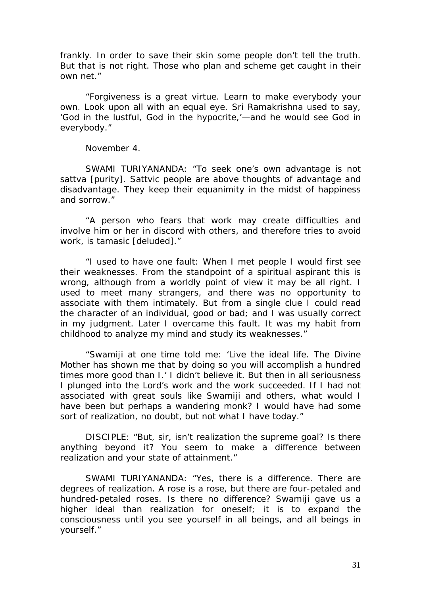frankly. In order to save their skin some people don't tell the truth. But that is not right. Those who plan and scheme get caught in their own net."

"Forgiveness is a great virtue. Learn to make everybody your own. Look upon all with an equal eye. Sri Ramakrishna used to say, 'God in the lustful, God in the hypocrite,'—and he would see God in everybody."

November 4.

SWAMI TURIYANANDA: "To seek one's own advantage is not sattva [purity]. Sattvic people are above thoughts of advantage and disadvantage. They keep their equanimity in the midst of happiness and sorrow."

"A person who fears that work may create difficulties and involve him or her in discord with others, and therefore tries to avoid work, is tamasic [deluded]."

"I used to have one fault: When I met people I would first see their weaknesses. From the standpoint of a spiritual aspirant this is wrong, although from a worldly point of view it may be all right. I used to meet many strangers, and there was no opportunity to associate with them intimately. But from a single clue I could read the character of an individual, good or bad; and I was usually correct in my judgment. Later I overcame this fault. It was my habit from childhood to analyze my mind and study its weaknesses."

"Swamiji at one time told me: 'Live the ideal life. The Divine Mother has shown me that by doing so you will accomplish a hundred times more good than I.' I didn't believe it. But then in all seriousness I plunged into the Lord's work and the work succeeded. If I had not associated with great souls like Swamiji and others, what would I have been but perhaps a wandering monk? I would have had some sort of realization, no doubt, but not what I have today."

DISCIPLE: "But, sir, isn't realization the supreme goal? Is there anything beyond it? You seem to make a difference between realization and your state of attainment."

SWAMI TURIYANANDA: "Yes, there is a difference. There are degrees of realization. A rose is a rose, but there are four-petaled and hundred-petaled roses. Is there no difference? Swamiji gave us a higher ideal than realization for oneself; it is to expand the consciousness until you see yourself in all beings, and all beings in yourself."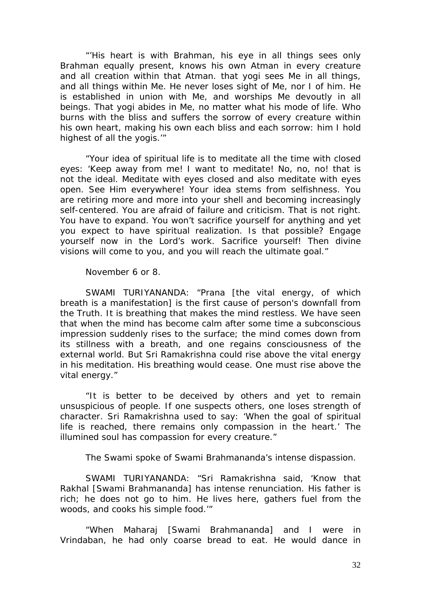"'His heart is with Brahman, his eye in all things sees only Brahman equally present, knows his own Atman in every creature and all creation within that Atman. that yogi sees Me in all things, and all things within Me. He never loses sight of Me, nor I of him. He is established in union with Me, and worships Me devoutly in all beings. That yogi abides in Me, no matter what his mode of life. Who burns with the bliss and suffers the sorrow of every creature within his own heart, making his own each bliss and each sorrow: him I hold highest of all the yogis.'"

"Your idea of spiritual life is to meditate all the time with closed eyes: 'Keep away from me! I want to meditate! No, no, no! that is not the ideal. Meditate with eyes closed and also meditate with eyes open. See Him everywhere! Your idea stems from selfishness. You are retiring more and more into your shell and becoming increasingly self-centered. You are afraid of failure and criticism. That is not right. You have to expand. You won't sacrifice yourself for anything and yet you expect to have spiritual realization. Is that possible? Engage yourself now in the Lord's work. Sacrifice yourself! Then divine visions will come to you, and you will reach the ultimate goal."

November 6 or 8.

SWAMI TURIYANANDA: "Prana [the vital energy, of which breath is a manifestation] is the first cause of person's downfall from the Truth. It is breathing that makes the mind restless. We have seen that when the mind has become calm after some time a subconscious impression suddenly rises to the surface; the mind comes down from its stillness with a breath, and one regains consciousness of the external world. But Sri Ramakrishna could rise above the vital energy in his meditation. His breathing would cease. One must rise above the vital energy."

"It is better to be deceived by others and yet to remain unsuspicious of people. If one suspects others, one loses strength of character. Sri Ramakrishna used to say: 'When the goal of spiritual life is reached, there remains only compassion in the heart.' The illumined soul has compassion for every creature."

The Swami spoke of Swami Brahmananda's intense dispassion.

SWAMI TURIYANANDA: "Sri Ramakrishna said, 'Know that Rakhal [Swami Brahmananda] has intense renunciation. His father is rich; he does not go to him. He lives here, gathers fuel from the woods, and cooks his simple food.'"

"When Maharaj [Swami Brahmananda] and I were in Vrindaban, he had only coarse bread to eat. He would dance in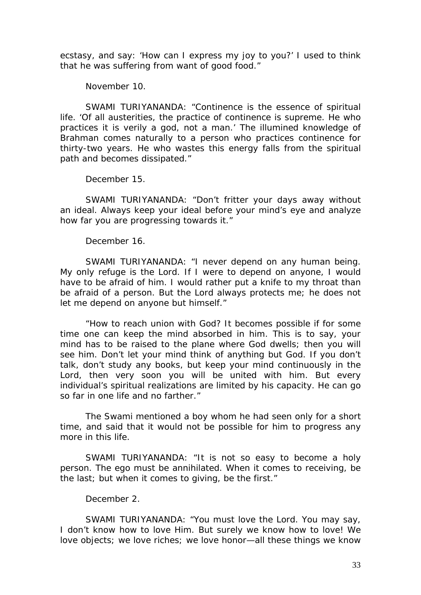ecstasy, and say: 'How can I express my joy to you?' I used to think that he was suffering from want of good food."

November 10.

SWAMI TURIYANANDA: "Continence is the essence of spiritual life. 'Of all austerities, the practice of continence is supreme. He who practices it is verily a god, not a man.' The illumined knowledge of Brahman comes naturally to a person who practices continence for thirty-two years. He who wastes this energy falls from the spiritual path and becomes dissipated."

December 15.

SWAMI TURIYANANDA: "Don't fritter your days away without an ideal. Always keep your ideal before your mind's eye and analyze how far you are progressing towards it."

December 16.

SWAMI TURIYANANDA: "I never depend on any human being. My only refuge is the Lord. If I were to depend on anyone, I would have to be afraid of him. I would rather put a knife to my throat than be afraid of a person. But the Lord always protects me; he does not let me depend on anyone but himself."

"How to reach union with God? It becomes possible if for some time one can keep the mind absorbed in him. This is to say, your mind has to be raised to the plane where God dwells; then you will see him. Don't let your mind think of anything but God. If you don't talk, don't study any books, but keep your mind continuously in the Lord, then very soon you will be united with him. But every individual's spiritual realizations are limited by his capacity. He can go so far in one life and no farther."

The Swami mentioned a boy whom he had seen only for a short time, and said that it would not be possible for him to progress any more in this life.

SWAMI TURIYANANDA: "It is not so easy to become a holy person. The ego must be annihilated. When it comes to receiving, be the last; but when it comes to giving, be the first."

December 2.

SWAMI TURIYANANDA: "You must love the Lord. You may say, I don't know how to love Him. But surely we know how to love! We love objects; we love riches; we love honor—all these things we know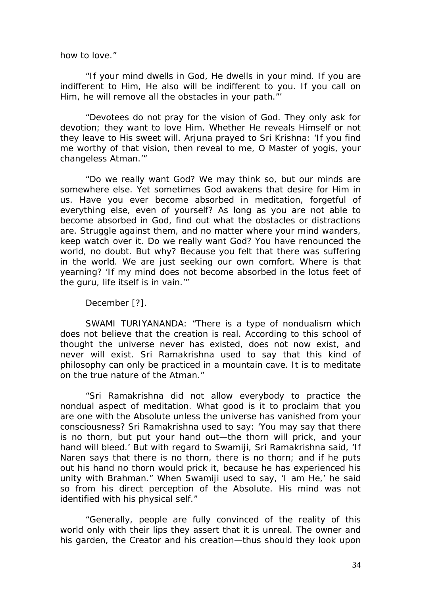how to love."

"If your mind dwells in God, He dwells in your mind. If you are indifferent to Him, He also will be indifferent to you. If you call on Him, he will remove all the obstacles in your path."'

"Devotees do not pray for the vision of God. They only ask for devotion; they want to love Him. Whether He reveals Himself or not they leave to His sweet will. Arjuna prayed to Sri Krishna: 'If you find me worthy of that vision, then reveal to me, O Master of yogis, your changeless Atman.'"

"Do we really want God? We may think so, but our minds are somewhere else. Yet sometimes God awakens that desire for Him in us. Have you ever become absorbed in meditation, forgetful of everything else, even of yourself? As long as you are not able to become absorbed in God, find out what the obstacles or distractions are. Struggle against them, and no matter where your mind wanders, keep watch over it. Do we really want God? You have renounced the world, no doubt. But why? Because you felt that there was suffering in the world. We are just seeking our own comfort. Where is that yearning? 'If my mind does not become absorbed in the lotus feet of the guru, life itself is in vain.'"

December [?].

SWAMI TURIYANANDA: "There is a type of nondualism which does not believe that the creation is real. According to this school of thought the universe never has existed, does not now exist, and never will exist. Sri Ramakrishna used to say that this kind of philosophy can only be practiced in a mountain cave. It is to meditate on the true nature of the Atman."

"Sri Ramakrishna did not allow everybody to practice the nondual aspect of meditation. What good is it to proclaim that you are one with the Absolute unless the universe has vanished from your consciousness? Sri Ramakrishna used to say: 'You may say that there is no thorn, but put your hand out—the thorn will prick, and your hand will bleed.' But with regard to Swamiji, Sri Ramakrishna said, 'If Naren says that there is no thorn, there is no thorn; and if he puts out his hand no thorn would prick it, because he has experienced his unity with Brahman." When Swamiji used to say, 'I am He,' he said so from his direct perception of the Absolute. His mind was not identified with his physical self."

"Generally, people are fully convinced of the reality of this world only with their lips they assert that it is unreal. The owner and his garden, the Creator and his creation—thus should they look upon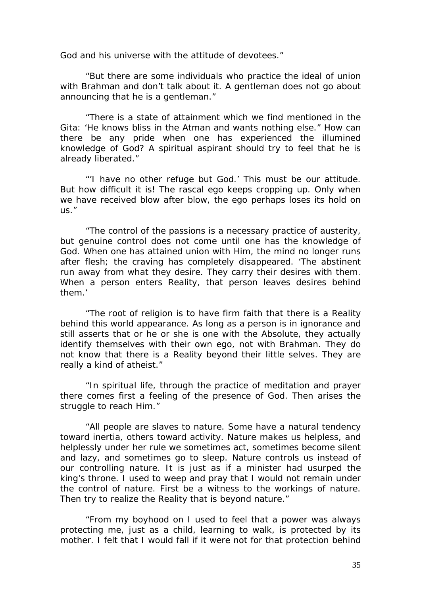God and his universe with the attitude of devotees."

"But there are some individuals who practice the ideal of union with Brahman and don't talk about it. A gentleman does not go about announcing that he is a gentleman."

"There is a state of attainment which we find mentioned in the Gita: 'He knows bliss in the Atman and wants nothing else." How can there be any pride when one has experienced the illumined knowledge of God? A spiritual aspirant should try to feel that he is already liberated."

"'I have no other refuge but God.' This must be our attitude. But how difficult it is! The rascal ego keeps cropping up. Only when we have received blow after blow, the ego perhaps loses its hold on us."

"The control of the passions is a necessary practice of austerity, but genuine control does not come until one has the knowledge of God. When one has attained union with Him, the mind no longer runs after flesh; the craving has completely disappeared. 'The abstinent run away from what they desire. They carry their desires with them. When a person enters Reality, that person leaves desires behind them.'

"The root of religion is to have firm faith that there is a Reality behind this world appearance. As long as a person is in ignorance and still asserts that or he or she is one with the Absolute, they actually identify themselves with their own ego, not with Brahman. They do not know that there is a Reality beyond their little selves. They are really a kind of atheist."

"In spiritual life, through the practice of meditation and prayer there comes first a feeling of the presence of God. Then arises the struggle to reach Him."

"All people are slaves to nature. Some have a natural tendency toward inertia, others toward activity. Nature makes us helpless, and helplessly under her rule we sometimes act, sometimes become silent and lazy, and sometimes go to sleep. Nature controls us instead of our controlling nature. It is just as if a minister had usurped the king's throne. I used to weep and pray that I would not remain under the control of nature. First be a witness to the workings of nature. Then try to realize the Reality that is beyond nature."

"From my boyhood on I used to feel that a power was always protecting me, just as a child, learning to walk, is protected by its mother. I felt that I would fall if it were not for that protection behind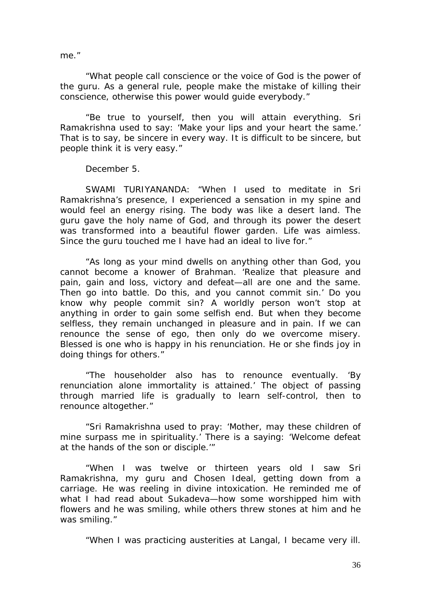me."

"What people call conscience or the voice of God is the power of the guru. As a general rule, people make the mistake of killing their conscience, otherwise this power would guide everybody."

"Be true to yourself, then you will attain everything. Sri Ramakrishna used to say: 'Make your lips and your heart the same.' That is to say, be sincere in every way. It is difficult to be sincere, but people think it is very easy."

December 5.

SWAMI TURIYANANDA: "When I used to meditate in Sri Ramakrishna's presence, I experienced a sensation in my spine and would feel an energy rising. The body was like a desert land. The guru gave the holy name of God, and through its power the desert was transformed into a beautiful flower garden. Life was aimless. Since the guru touched me I have had an ideal to live for."

"As long as your mind dwells on anything other than God, you cannot become a knower of Brahman. 'Realize that pleasure and pain, gain and loss, victory and defeat—all are one and the same. Then go into battle. Do this, and you cannot commit sin.' Do you know why people commit sin? A worldly person won't stop at anything in order to gain some selfish end. But when they become selfless, they remain unchanged in pleasure and in pain. If we can renounce the sense of ego, then only do we overcome misery. Blessed is one who is happy in his renunciation. He or she finds joy in doing things for others."

"The householder also has to renounce eventually. 'By renunciation alone immortality is attained.' The object of passing through married life is gradually to learn self-control, then to renounce altogether."

"Sri Ramakrishna used to pray: 'Mother, may these children of mine surpass me in spirituality.' There is a saying: 'Welcome defeat at the hands of the son or disciple.'"

"When I was twelve or thirteen years old I saw Sri Ramakrishna, my guru and Chosen Ideal, getting down from a carriage. He was reeling in divine intoxication. He reminded me of what I had read about Sukadeva—how some worshipped him with flowers and he was smiling, while others threw stones at him and he was smiling."

"When I was practicing austerities at Langal, I became very ill.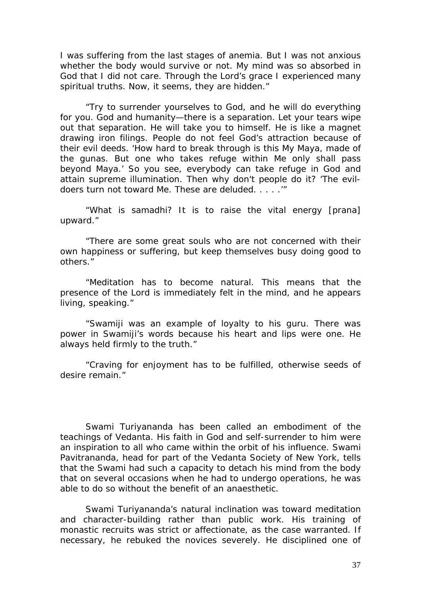I was suffering from the last stages of anemia. But I was not anxious whether the body would survive or not. My mind was so absorbed in God that I did not care. Through the Lord's grace I experienced many spiritual truths. Now, it seems, they are hidden."

"Try to surrender yourselves to God, and he will do everything for you. God and humanity—there is a separation. Let your tears wipe out that separation. He will take you to himself. He is like a magnet drawing iron filings. People do not feel God's attraction because of their evil deeds. 'How hard to break through is this My Maya, made of the gunas. But one who takes refuge within Me only shall pass beyond Maya.' So you see, everybody can take refuge in God and attain supreme illumination. Then why don't people do it? 'The evildoers turn not toward Me. These are deluded. . . . .'"

"What is samadhi? It is to raise the vital energy [prana] upward."

"There are some great souls who are not concerned with their own happiness or suffering, but keep themselves busy doing good to others."

"Meditation has to become natural. This means that the presence of the Lord is immediately felt in the mind, and he appears living, speaking."

"Swamiji was an example of loyalty to his guru. There was power in Swamiji's words because his heart and lips were one. He always held firmly to the truth."

"Craving for enjoyment has to be fulfilled, otherwise seeds of desire remain."

Swami Turiyananda has been called an embodiment of the teachings of Vedanta. His faith in God and self-surrender to him were an inspiration to all who came within the orbit of his influence. Swami Pavitrananda, head for part of the Vedanta Society of New York, tells that the Swami had such a capacity to detach his mind from the body that on several occasions when he had to undergo operations, he was able to do so without the benefit of an anaesthetic.

Swami Turiyananda's natural inclination was toward meditation and character-building rather than public work. His training of monastic recruits was strict or affectionate, as the case warranted. If necessary, he rebuked the novices severely. He disciplined one of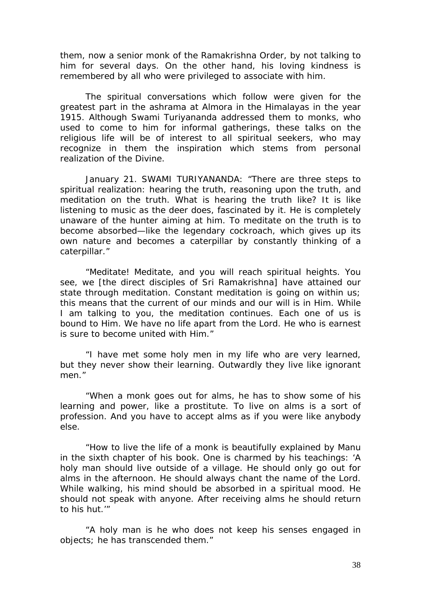them, now a senior monk of the Ramakrishna Order, by not talking to him for several days. On the other hand, his loving kindness is remembered by all who were privileged to associate with him.

The spiritual conversations which follow were given for the greatest part in the ashrama at Almora in the Himalayas in the year 1915. Although Swami Turiyananda addressed them to monks, who used to come to him for informal gatherings, these talks on the religious life will be of interest to all spiritual seekers, who may recognize in them the inspiration which stems from personal realization of the Divine.

January 21. SWAMI TURIYANANDA: "There are three steps to spiritual realization: hearing the truth, reasoning upon the truth, and meditation on the truth. What is hearing the truth like? It is like listening to music as the deer does, fascinated by it. He is completely unaware of the hunter aiming at him. To meditate on the truth is to become absorbed—like the legendary cockroach, which gives up its own nature and becomes a caterpillar by constantly thinking of a caterpillar."

"Meditate! Meditate, and you will reach spiritual heights. You see, we [the direct disciples of Sri Ramakrishna] have attained our state through meditation. Constant meditation is going on within us; this means that the current of our minds and our will is in Him. While I am talking to you, the meditation continues. Each one of us is bound to Him. We have no life apart from the Lord. He who is earnest is sure to become united with Him."

"I have met some holy men in my life who are very learned, but they never show their learning. Outwardly they live like ignorant men."

"When a monk goes out for alms, he has to show some of his learning and power, like a prostitute. To live on alms is a sort of profession. And you have to accept alms as if you were like anybody else.

"How to live the life of a monk is beautifully explained by Manu in the sixth chapter of his book. One is charmed by his teachings: 'A holy man should live outside of a village. He should only go out for alms in the afternoon. He should always chant the name of the Lord. While walking, his mind should be absorbed in a spiritual mood. He should not speak with anyone. After receiving alms he should return to his hut.'"

"A holy man is he who does not keep his senses engaged in objects; he has transcended them."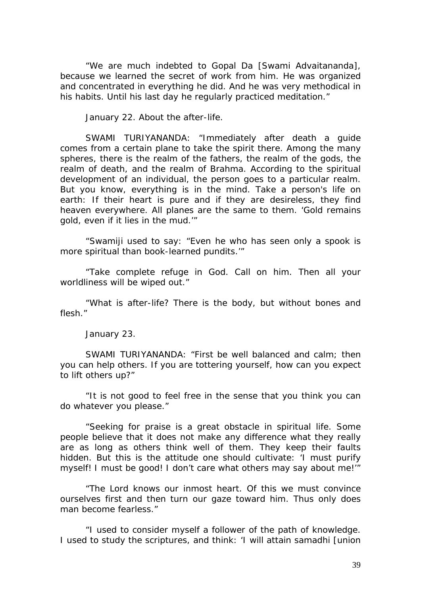"We are much indebted to Gopal Da [Swami Advaitananda], because we learned the secret of work from him. He was organized and concentrated in everything he did. And he was very methodical in his habits. Until his last day he regularly practiced meditation."

January 22. About the after-life.

SWAMI TURIYANANDA: "Immediately after death a guide comes from a certain plane to take the spirit there. Among the many spheres, there is the realm of the fathers, the realm of the gods, the realm of death, and the realm of Brahma. According to the spiritual development of an individual, the person goes to a particular realm. But you know, everything is in the mind. Take a person's life on earth: If their heart is pure and if they are desireless, they find heaven everywhere. All planes are the same to them. 'Gold remains gold, even if it lies in the mud.'"

"Swamiji used to say: "Even he who has seen only a spook is more spiritual than book-learned pundits.'"

"Take complete refuge in God. Call on him. Then all your worldliness will be wiped out."

"What is after-life? There is the body, but without bones and flesh."

January 23.

SWAMI TURIYANANDA: "First be well balanced and calm; then you can help others. If you are tottering yourself, how can you expect to lift others up?"

"It is not good to feel free in the sense that you think you can do whatever you please."

"Seeking for praise is a great obstacle in spiritual life. Some people believe that it does not make any difference what they really are as long as others think well of them. They keep their faults hidden. But this is the attitude one should cultivate: 'I must purify myself! I must be good! I don't care what others may say about me!'"

"The Lord knows our inmost heart. Of this we must convince ourselves first and then turn our gaze toward him. Thus only does man become fearless."

"I used to consider myself a follower of the path of knowledge. I used to study the scriptures, and think: 'I will attain samadhi [union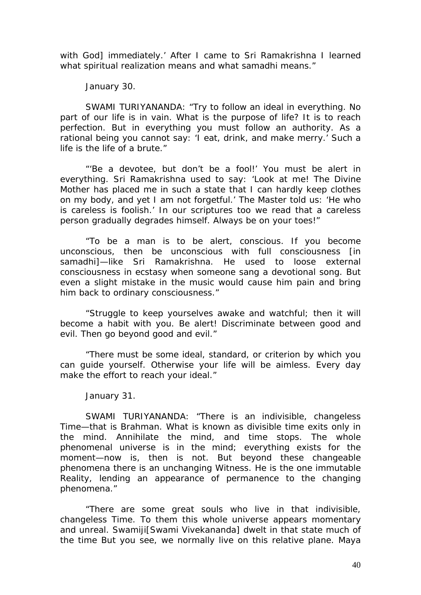with God] immediately.' After I came to Sri Ramakrishna I learned what spiritual realization means and what samadhi means."

January 30.

SWAMI TURIYANANDA: "Try to follow an ideal in everything. No part of our life is in vain. What is the purpose of life? It is to reach perfection. But in everything you must follow an authority. As a rational being you cannot say: 'I eat, drink, and make merry.' Such a life is the life of a brute."

"'Be a devotee, but don't be a fool!' You must be alert in everything. Sri Ramakrishna used to say: 'Look at me! The Divine Mother has placed me in such a state that I can hardly keep clothes on my body, and yet I am not forgetful.' The Master told us: 'He who is careless is foolish.' In our scriptures too we read that a careless person gradually degrades himself. Always be on your toes!"

"To be a man is to be alert, conscious. If you become unconscious, then be unconscious with full consciousness [in samadhi]—like Sri Ramakrishna. He used to loose external consciousness in ecstasy when someone sang a devotional song. But even a slight mistake in the music would cause him pain and bring him back to ordinary consciousness."

"Struggle to keep yourselves awake and watchful; then it will become a habit with you. Be alert! Discriminate between good and evil. Then go beyond good and evil."

"There must be some ideal, standard, or criterion by which you can guide yourself. Otherwise your life will be aimless. Every day make the effort to reach your ideal."

January 31.

SWAMI TURIYANANDA: "There is an indivisible, changeless Time—that is Brahman. What is known as divisible time exits only in the mind. Annihilate the mind, and time stops. The whole phenomenal universe is in the mind; everything exists for the moment—now is, then is not. But beyond these changeable phenomena there is an unchanging Witness. He is the one immutable Reality, lending an appearance of permanence to the changing phenomena."

"There are some great souls who live in that indivisible, changeless Time. To them this whole universe appears momentary and unreal. Swamiji[Swami Vivekananda] dwelt in that state much of the time But you see, we normally live on this relative plane. Maya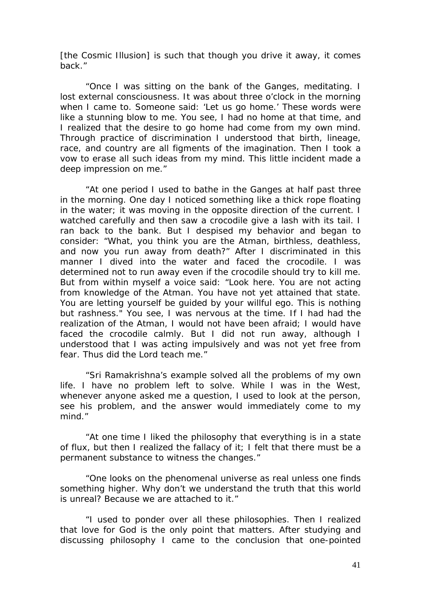[the Cosmic Illusion] is such that though you drive it away, it comes back."

"Once I was sitting on the bank of the Ganges, meditating. I lost external consciousness. It was about three o'clock in the morning when I came to. Someone said: 'Let us go home.' These words were like a stunning blow to me. You see, I had no home at that time, and I realized that the desire to go home had come from my own mind. Through practice of discrimination I understood that birth, lineage, race, and country are all figments of the imagination. Then I took a vow to erase all such ideas from my mind. This little incident made a deep impression on me."

"At one period I used to bathe in the Ganges at half past three in the morning. One day I noticed something like a thick rope floating in the water; it was moving in the opposite direction of the current. I watched carefully and then saw a crocodile give a lash with its tail. I ran back to the bank. But I despised my behavior and began to consider: "What, you think you are the Atman, birthless, deathless, and now you run away from death?" After I discriminated in this manner I dived into the water and faced the crocodile. I was determined not to run away even if the crocodile should try to kill me. But from within myself a voice said: "Look here. You are not acting from knowledge of the Atman. You have not yet attained that state. You are letting yourself be guided by your willful ego. This is nothing but rashness." You see, I was nervous at the time. If I had had the realization of the Atman, I would not have been afraid; I would have faced the crocodile calmly. But I did not run away, although I understood that I was acting impulsively and was not yet free from fear. Thus did the Lord teach me."

"Sri Ramakrishna's example solved all the problems of my own life. I have no problem left to solve. While I was in the West, whenever anyone asked me a question, I used to look at the person, see his problem, and the answer would immediately come to my mind."

"At one time I liked the philosophy that everything is in a state of flux, but then I realized the fallacy of it; I felt that there must be a permanent substance to witness the changes."

"One looks on the phenomenal universe as real unless one finds something higher. Why don't we understand the truth that this world is unreal? Because we are attached to it."

"I used to ponder over all these philosophies. Then I realized that love for God is the only point that matters. After studying and discussing philosophy I came to the conclusion that one-pointed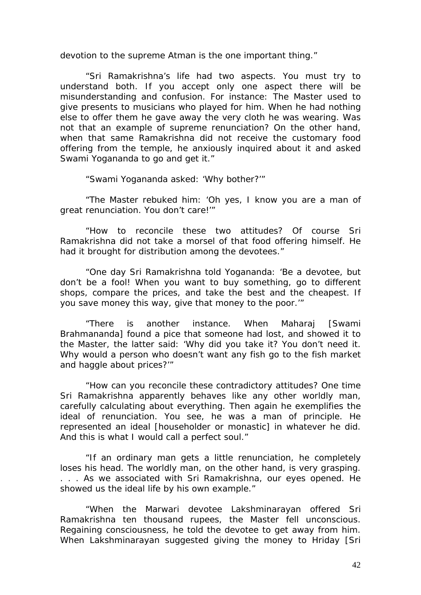devotion to the supreme Atman is the one important thing."

"Sri Ramakrishna's life had two aspects. You must try to understand both. If you accept only one aspect there will be misunderstanding and confusion. For instance: The Master used to give presents to musicians who played for him. When he had nothing else to offer them he gave away the very cloth he was wearing. Was not that an example of supreme renunciation? On the other hand, when that same Ramakrishna did not receive the customary food offering from the temple, he anxiously inquired about it and asked Swami Yogananda to go and get it."

"Swami Yogananda asked: 'Why bother?'"

"The Master rebuked him: 'Oh yes, I know you are a man of great renunciation. You don't care!'"

"How to reconcile these two attitudes? Of course Sri Ramakrishna did not take a morsel of that food offering himself. He had it brought for distribution among the devotees."

"One day Sri Ramakrishna told Yogananda: 'Be a devotee, but don't be a fool! When you want to buy something, go to different shops, compare the prices, and take the best and the cheapest. If you save money this way, give that money to the poor.'"

"There is another instance. When Maharaj [Swami Brahmananda] found a pice that someone had lost, and showed it to the Master, the latter said: 'Why did you take it? You don't need it. Why would a person who doesn't want any fish go to the fish market and haggle about prices?'"

"How can you reconcile these contradictory attitudes? One time Sri Ramakrishna apparently behaves like any other worldly man, carefully calculating about everything. Then again he exemplifies the ideal of renunciation. You see, he was a man of principle. He represented an ideal [householder or monastic] in whatever he did. And this is what I would call a perfect soul."

"If an ordinary man gets a little renunciation, he completely loses his head. The worldly man, on the other hand, is very grasping. . . . As we associated with Sri Ramakrishna, our eyes opened. He showed us the ideal life by his own example."

"When the Marwari devotee Lakshminarayan offered Sri Ramakrishna ten thousand rupees, the Master fell unconscious. Regaining consciousness, he told the devotee to get away from him. When Lakshminarayan suggested giving the money to Hriday [Sri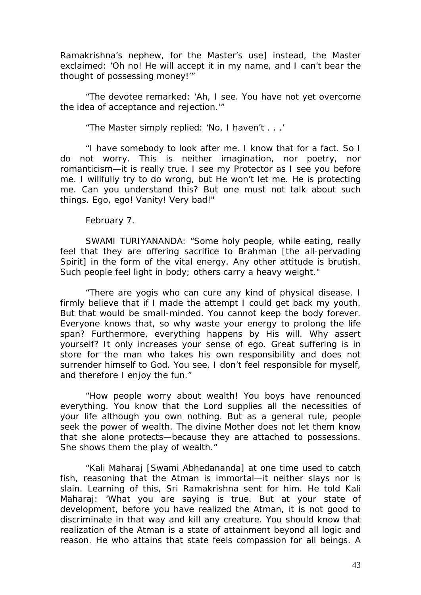Ramakrishna's nephew, for the Master's use] instead, the Master exclaimed: 'Oh no! He will accept it in my name, and I can't bear the thought of possessing money!'"

"The devotee remarked: 'Ah, I see. You have not yet overcome the idea of acceptance and rejection.'"

"The Master simply replied: 'No, I haven't . . .'

"I have somebody to look after me. I know that for a fact. So I do not worry. This is neither imagination, nor poetry, nor romanticism—it is really true. I see my Protector as I see you before me. I willfully try to do wrong, but He won't let me. He is protecting me. Can you understand this? But one must not talk about such things. Ego, ego! Vanity! Very bad!"

February 7.

SWAMI TURIYANANDA: "Some holy people, while eating, really feel that they are offering sacrifice to Brahman [the all-pervading Spirit] in the form of the vital energy. Any other attitude is brutish. Such people feel light in body; others carry a heavy weight."

"There are yogis who can cure any kind of physical disease. I firmly believe that if I made the attempt I could get back my youth. But that would be small-minded. You cannot keep the body forever. Everyone knows that, so why waste your energy to prolong the life span? Furthermore, everything happens by His will. Why assert yourself? It only increases your sense of ego. Great suffering is in store for the man who takes his own responsibility and does not surrender himself to God. You see, I don't feel responsible for myself, and therefore I enjoy the fun."

"How people worry about wealth! You boys have renounced everything. You know that the Lord supplies all the necessities of your life although you own nothing. But as a general rule, people seek the power of wealth. The divine Mother does not let them know that she alone protects—because they are attached to possessions. She shows them the play of wealth."

"Kali Maharaj [Swami Abhedananda] at one time used to catch fish, reasoning that the Atman is immortal—it neither slays nor is slain. Learning of this, Sri Ramakrishna sent for him. He told Kali Maharaj: 'What you are saying is true. But at your state of development, before you have realized the Atman, it is not good to discriminate in that way and kill any creature. You should know that realization of the Atman is a state of attainment beyond all logic and reason. He who attains that state feels compassion for all beings. A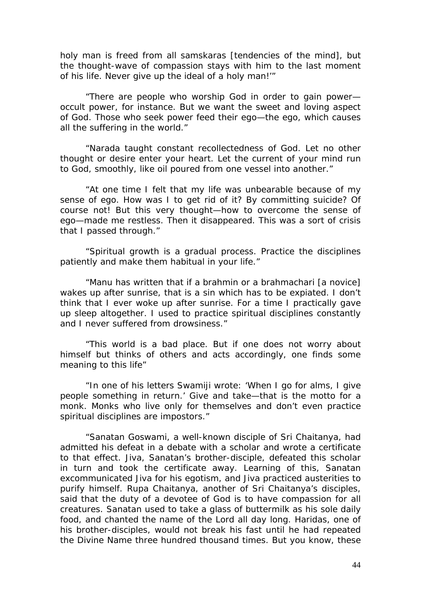holy man is freed from all samskaras [tendencies of the mind], but the thought-wave of compassion stays with him to the last moment of his life. Never give up the ideal of a holy man!'"

"There are people who worship God in order to gain power occult power, for instance. But we want the sweet and loving aspect of God. Those who seek power feed their ego—the ego, which causes all the suffering in the world."

"Narada taught constant recollectedness of God. Let no other thought or desire enter your heart. Let the current of your mind run to God, smoothly, like oil poured from one vessel into another."

"At one time I felt that my life was unbearable because of my sense of ego. How was I to get rid of it? By committing suicide? Of course not! But this very thought—how to overcome the sense of ego—made me restless. Then it disappeared. This was a sort of crisis that I passed through."

"Spiritual growth is a gradual process. Practice the disciplines patiently and make them habitual in your life."

"Manu has written that if a brahmin or a brahmachari [a novice] wakes up after sunrise, that is a sin which has to be expiated. I don't think that I ever woke up after sunrise. For a time I practically gave up sleep altogether. I used to practice spiritual disciplines constantly and I never suffered from drowsiness."

"This world is a bad place. But if one does not worry about himself but thinks of others and acts accordingly, one finds some meaning to this life"

"In one of his letters Swamiji wrote: 'When I go for alms, I give people something in return.' Give and take—that is the motto for a monk. Monks who live only for themselves and don't even practice spiritual disciplines are impostors."

"Sanatan Goswami, a well-known disciple of Sri Chaitanya, had admitted his defeat in a debate with a scholar and wrote a certificate to that effect. Jiva, Sanatan's brother-disciple, defeated this scholar in turn and took the certificate away. Learning of this, Sanatan excommunicated Jiva for his egotism, and Jiva practiced austerities to purify himself. Rupa Chaitanya, another of Sri Chaitanya's disciples, said that the duty of a devotee of God is to have compassion for all creatures. Sanatan used to take a glass of buttermilk as his sole daily food, and chanted the name of the Lord all day long. Haridas, one of his brother-disciples, would not break his fast until he had repeated the Divine Name three hundred thousand times. But you know, these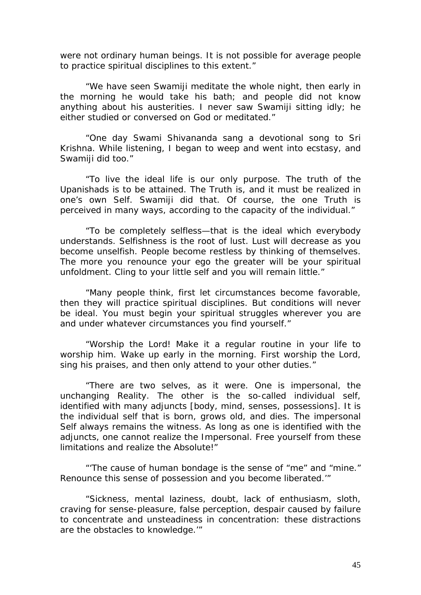were not ordinary human beings. It is not possible for average people to practice spiritual disciplines to this extent."

"We have seen Swamiji meditate the whole night, then early in the morning he would take his bath; and people did not know anything about his austerities. I never saw Swamiji sitting idly; he either studied or conversed on God or meditated."

"One day Swami Shivananda sang a devotional song to Sri Krishna. While listening, I began to weep and went into ecstasy, and Swamiji did too."

"To live the ideal life is our only purpose. The truth of the Upanishads is to be attained. The Truth is, and it must be realized in one's own Self. Swamiji did that. Of course, the one Truth is perceived in many ways, according to the capacity of the individual."

"To be completely selfless—that is the ideal which everybody understands. Selfishness is the root of lust. Lust will decrease as you become unselfish. People become restless by thinking of themselves. The more you renounce your ego the greater will be your spiritual unfoldment. Cling to your little self and you will remain little."

"Many people think, first let circumstances become favorable, then they will practice spiritual disciplines. But conditions will never be ideal. You must begin your spiritual struggles wherever you are and under whatever circumstances you find yourself."

"Worship the Lord! Make it a regular routine in your life to worship him. Wake up early in the morning. First worship the Lord, sing his praises, and then only attend to your other duties."

"There are two selves, as it were. One is impersonal, the unchanging Reality. The other is the so-called individual self, identified with many adjuncts [body, mind, senses, possessions]. It is the individual self that is born, grows old, and dies. The impersonal Self always remains the witness. As long as one is identified with the adjuncts, one cannot realize the Impersonal. Free yourself from these limitations and realize the Absolute!"

"'The cause of human bondage is the sense of "me" and "mine." Renounce this sense of possession and you become liberated.'"

"Sickness, mental laziness, doubt, lack of enthusiasm, sloth, craving for sense-pleasure, false perception, despair caused by failure to concentrate and unsteadiness in concentration: these distractions are the obstacles to knowledge.'"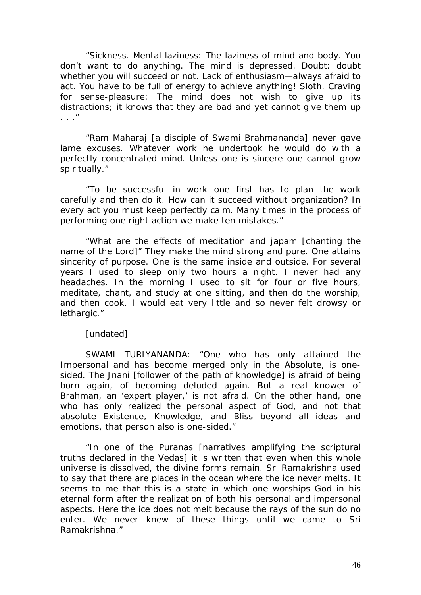"Sickness. Mental laziness: The laziness of mind and body. You don't want to do anything. The mind is depressed. Doubt: doubt whether you will succeed or not. Lack of enthusiasm—always afraid to act. You have to be full of energy to achieve anything! Sloth. Craving for sense-pleasure: The mind does not wish to give up its distractions; it knows that they are bad and yet cannot give them up  $\overline{u}$ 

"Ram Maharaj [a disciple of Swami Brahmananda] never gave lame excuses. Whatever work he undertook he would do with a perfectly concentrated mind. Unless one is sincere one cannot grow spiritually."

"To be successful in work one first has to plan the work carefully and then do it. How can it succeed without organization? In every act you must keep perfectly calm. Many times in the process of performing one right action we make ten mistakes."

"What are the effects of meditation and japam [chanting the name of the Lord]" They make the mind strong and pure. One attains sincerity of purpose. One is the same inside and outside. For several years I used to sleep only two hours a night. I never had any headaches. In the morning I used to sit for four or five hours, meditate, chant, and study at one sitting, and then do the worship, and then cook. I would eat very little and so never felt drowsy or lethargic."

## [undated]

SWAMI TURIYANANDA: "One who has only attained the Impersonal and has become merged only in the Absolute, is onesided. The Jnani [follower of the path of knowledge] is afraid of being born again, of becoming deluded again. But a real knower of Brahman, an 'expert player,' is not afraid. On the other hand, one who has only realized the personal aspect of God, and not that absolute Existence, Knowledge, and Bliss beyond all ideas and emotions, that person also is one-sided."

"In one of the Puranas [narratives amplifying the scriptural truths declared in the Vedas] it is written that even when this whole universe is dissolved, the divine forms remain. Sri Ramakrishna used to say that there are places in the ocean where the ice never melts. It seems to me that this is a state in which one worships God in his eternal form after the realization of both his personal and impersonal aspects. Here the ice does not melt because the rays of the sun do no enter. We never knew of these things until we came to Sri Ramakrishna."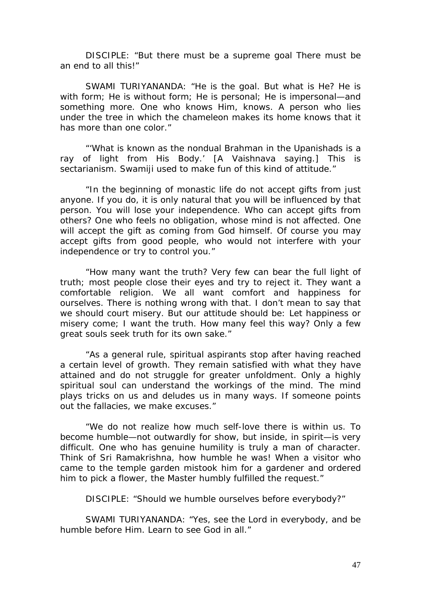DISCIPLE: "But there must be a supreme goal There must be an end to all this!"

SWAMI TURIYANANDA: "He is the goal. But what is He? He is with form; He is without form; He is personal; He is impersonal—and something more. One who knows Him, knows. A person who lies under the tree in which the chameleon makes its home knows that it has more than one color."

"'What is known as the nondual Brahman in the Upanishads is a ray of light from His Body.' [A Vaishnava saying.] This is sectarianism. Swamiji used to make fun of this kind of attitude."

"In the beginning of monastic life do not accept gifts from just anyone. If you do, it is only natural that you will be influenced by that person. You will lose your independence. Who can accept gifts from others? One who feels no obligation, whose mind is not affected. One will accept the gift as coming from God himself. Of course you may accept gifts from good people, who would not interfere with your independence or try to control you."

"How many want the truth? Very few can bear the full light of truth; most people close their eyes and try to reject it. They want a comfortable religion. We all want comfort and happiness for ourselves. There is nothing wrong with that. I don't mean to say that we should court misery. But our attitude should be: Let happiness or misery come; I want the truth. How many feel this way? Only a few great souls seek truth for its own sake."

"As a general rule, spiritual aspirants stop after having reached a certain level of growth. They remain satisfied with what they have attained and do not struggle for greater unfoldment. Only a highly spiritual soul can understand the workings of the mind. The mind plays tricks on us and deludes us in many ways. If someone points out the fallacies, we make excuses."

"We do not realize how much self-love there is within us. To become humble—not outwardly for show, but inside, in spirit—is very difficult. One who has genuine humility is truly a man of character. Think of Sri Ramakrishna, how humble he was! When a visitor who came to the temple garden mistook him for a gardener and ordered him to pick a flower, the Master humbly fulfilled the request."

DISCIPLE: "Should we humble ourselves before everybody?"

SWAMI TURIYANANDA: "Yes, see the Lord in everybody, and be humble before Him. Learn to see God in all."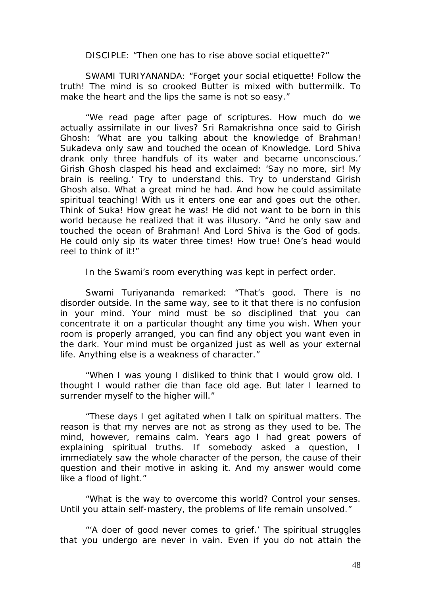DISCIPLE: "Then one has to rise above social etiquette?"

SWAMI TURIYANANDA: "Forget your social etiquette! Follow the truth! The mind is so crooked Butter is mixed with buttermilk. To make the heart and the lips the same is not so easy."

"We read page after page of scriptures. How much do we actually assimilate in our lives? Sri Ramakrishna once said to Girish Ghosh: 'What are you talking about the knowledge of Brahman! Sukadeva only saw and touched the ocean of Knowledge. Lord Shiva drank only three handfuls of its water and became unconscious.' Girish Ghosh clasped his head and exclaimed: 'Say no more, sir! My brain is reeling.' Try to understand this. Try to understand Girish Ghosh also. What a great mind he had. And how he could assimilate spiritual teaching! With us it enters one ear and goes out the other. Think of Suka! How great he was! He did not want to be born in this world because he realized that it was illusory. "And he only saw and touched the ocean of Brahman! And Lord Shiva is the God of gods. He could only sip its water three times! How true! One's head would reel to think of it!"

In the Swami's room everything was kept in perfect order.

Swami Turiyananda remarked: "That's good. There is no disorder outside. In the same way, see to it that there is no confusion in your mind. Your mind must be so disciplined that you can concentrate it on a particular thought any time you wish. When your room is properly arranged, you can find any object you want even in the dark. Your mind must be organized just as well as your external life. Anything else is a weakness of character."

"When I was young I disliked to think that I would grow old. I thought I would rather die than face old age. But later I learned to surrender myself to the higher will."

"These days I get agitated when I talk on spiritual matters. The reason is that my nerves are not as strong as they used to be. The mind, however, remains calm. Years ago I had great powers of explaining spiritual truths. If somebody asked a question, I immediately saw the whole character of the person, the cause of their question and their motive in asking it. And my answer would come like a flood of light."

"What is the way to overcome this world? Control your senses. Until you attain self-mastery, the problems of life remain unsolved."

"'A doer of good never comes to grief.' The spiritual struggles that you undergo are never in vain. Even if you do not attain the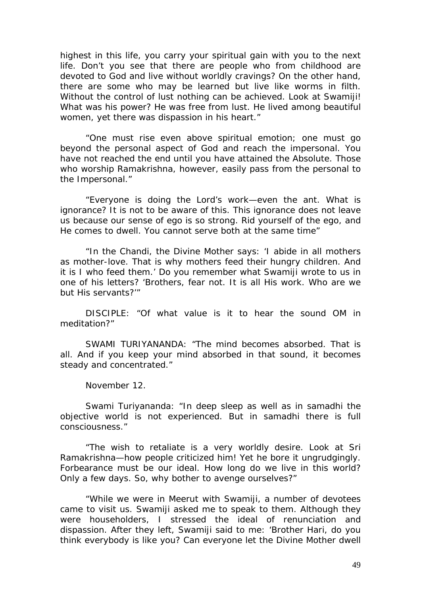highest in this life, you carry your spiritual gain with you to the next life. Don't you see that there are people who from childhood are devoted to God and live without worldly cravings? On the other hand, there are some who may be learned but live like worms in filth. Without the control of lust nothing can be achieved. Look at Swamiji! What was his power? He was free from lust. He lived among beautiful women, yet there was dispassion in his heart."

"One must rise even above spiritual emotion; one must go beyond the personal aspect of God and reach the impersonal. You have not reached the end until you have attained the Absolute. Those who worship Ramakrishna, however, easily pass from the personal to the Impersonal."

"Everyone is doing the Lord's work—even the ant. What is ignorance? It is not to be aware of this. This ignorance does not leave us because our sense of ego is so strong. Rid yourself of the ego, and He comes to dwell. You cannot serve both at the same time"

"In the Chandi, the Divine Mother says: 'I abide in all mothers as mother-love. That is why mothers feed their hungry children. And it is I who feed them.' Do you remember what Swamiji wrote to us in one of his letters? 'Brothers, fear not. It is all His work. Who are we but His servants?'"

DISCIPLE: "Of what value is it to hear the sound OM in meditation?"

SWAMI TURIYANANDA: "The mind becomes absorbed. That is all. And if you keep your mind absorbed in that sound, it becomes steady and concentrated."

November 12.

Swami Turiyananda: "In deep sleep as well as in samadhi the objective world is not experienced. But in samadhi there is full consciousness."

"The wish to retaliate is a very worldly desire. Look at Sri Ramakrishna—how people criticized him! Yet he bore it ungrudgingly. Forbearance must be our ideal. How long do we live in this world? Only a few days. So, why bother to avenge ourselves?"

"While we were in Meerut with Swamiji, a number of devotees came to visit us. Swamiji asked me to speak to them. Although they were householders, I stressed the ideal of renunciation and dispassion. After they left, Swamiji said to me: 'Brother Hari, do you think everybody is like you? Can everyone let the Divine Mother dwell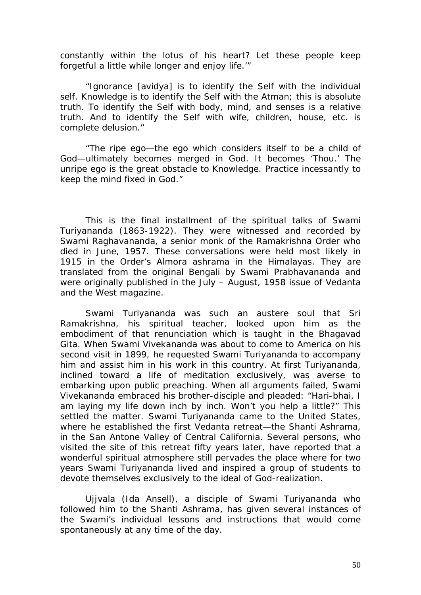constantly within the lotus of his heart? Let these people keep forgetful a little while longer and enjoy life.'"

"Ignorance [avidya] is to identify the Self with the individual self. Knowledge is to identify the Self with the Atman; this is absolute truth. To identify the Self with body, mind, and senses is a relative truth. And to identify the Self with wife, children, house, etc. is complete delusion."

"The ripe ego—the ego which considers itself to be a child of God—ultimately becomes merged in God. It becomes 'Thou.' The unripe ego is the great obstacle to Knowledge. Practice incessantly to keep the mind fixed in God."

This is the final installment of the spiritual talks of Swami Turiyananda (1863-1922). They were witnessed and recorded by Swami Raghavananda, a senior monk of the Ramakrishna Order who died in June, 1957. These conversations were held most likely in 1915 in the Order's Almora ashrama in the Himalayas. They are translated from the original Bengali by Swami Prabhavananda and were originally published in the July – August, 1958 issue of Vedanta and the West magazine.

Swami Turiyananda was such an austere soul that Sri Ramakrishna, his spiritual teacher, looked upon him as the embodiment of that renunciation which is taught in the Bhagavad Gita. When Swami Vivekananda was about to come to America on his second visit in 1899, he requested Swami Turiyananda to accompany him and assist him in his work in this country. At first Turiyananda, inclined toward a life of meditation exclusively, was averse to embarking upon public preaching. When all arguments failed, Swami Vivekananda embraced his brother-disciple and pleaded: "Hari-bhai, I am laying my life down inch by inch. Won't you help a little?" This settled the matter. Swami Turiyananda came to the United States, where he established the first Vedanta retreat—the Shanti Ashrama, in the San Antone Valley of Central California. Several persons, who visited the site of this retreat fifty years later, have reported that a wonderful spiritual atmosphere still pervades the place where for two years Swami Turiyananda lived and inspired a group of students to devote themselves exclusively to the ideal of God-realization.

Ujjvala (Ida Ansell), a disciple of Swami Turiyananda who followed him to the Shanti Ashrama, has given several instances of the Swami's individual lessons and instructions that would come spontaneously at any time of the day.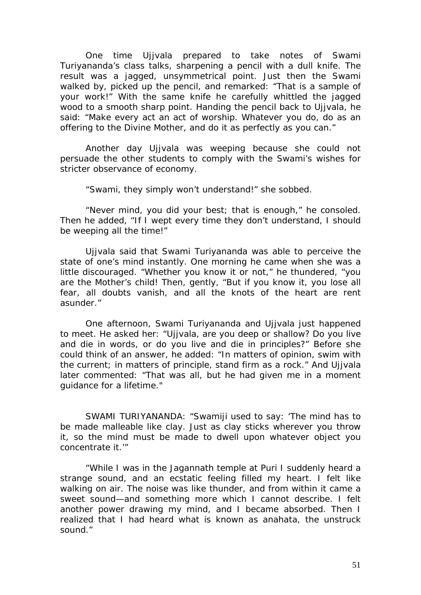One time Ujjvala prepared to take notes of Swami Turiyananda's class talks, sharpening a pencil with a dull knife. The result was a jagged, unsymmetrical point. Just then the Swami walked by, picked up the pencil, and remarked: "That is a sample of your work!" With the same knife he carefully whittled the jagged wood to a smooth sharp point. Handing the pencil back to Ujjvala, he said: "Make every act an act of worship. Whatever you do, do as an offering to the Divine Mother, and do it as perfectly as you can."

Another day Ujjvala was weeping because she could not persuade the other students to comply with the Swami's wishes for stricter observance of economy.

"Swami, they simply won't understand!" she sobbed.

"Never mind, you did your best; that is enough," he consoled. Then he added, "If I wept every time they don't understand, I should be weeping all the time!"

Ujivala said that Swami Turiyananda was able to perceive the state of one's mind instantly. One morning he came when she was a little discouraged. "Whether you know it or not," he thundered, "you are the Mother's child! Then, gently, "But if you know it, you lose all fear, all doubts vanish, and all the knots of the heart are rent asunder."

One afternoon, Swami Turiyananda and Ujjvala just happened to meet. He asked her: "Ujjvala, are you deep or shallow? Do you live and die in words, or do you live and die in principles?" Before she could think of an answer, he added: "In matters of opinion, swim with the current; in matters of principle, stand firm as a rock." And Ujjvala later commented: "That was all, but he had given me in a moment guidance for a lifetime."

SWAMI TURIYANANDA: "Swamiji used to say: 'The mind has to be made malleable like clay. Just as clay sticks wherever you throw it, so the mind must be made to dwell upon whatever object you concentrate it.'"

"While I was in the Jagannath temple at Puri I suddenly heard a strange sound, and an ecstatic feeling filled my heart. I felt like walking on air. The noise was like thunder, and from within it came a sweet sound—and something more which I cannot describe. I felt another power drawing my mind, and I became absorbed. Then I realized that I had heard what is known as anahata, the unstruck sound."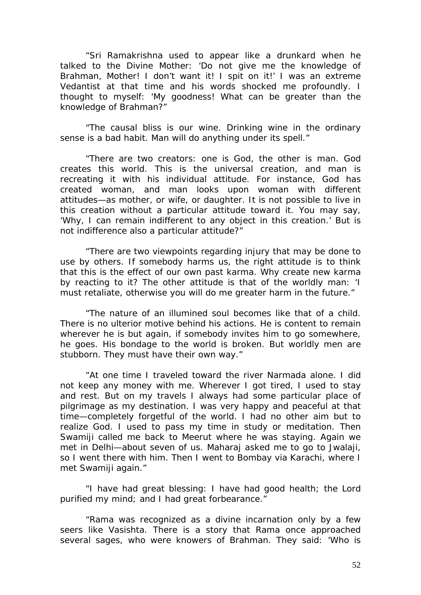"Sri Ramakrishna used to appear like a drunkard when he talked to the Divine Mother: 'Do not give me the knowledge of Brahman, Mother! I don't want it! I spit on it!' I was an extreme Vedantist at that time and his words shocked me profoundly. I thought to myself: 'My goodness! What can be greater than the knowledge of Brahman?"

"The causal bliss is our wine. Drinking wine in the ordinary sense is a bad habit. Man will do anything under its spell."

"There are two creators: one is God, the other is man. God creates this world. This is the universal creation, and man is recreating it with his individual attitude. For instance, God has created woman, and man looks upon woman with different attitudes—as mother, or wife, or daughter. It is not possible to live in this creation without a particular attitude toward it. You may say, 'Why, I can remain indifferent to any object in this creation.' But is not indifference also a particular attitude?"

"There are two viewpoints regarding injury that may be done to use by others. If somebody harms us, the right attitude is to think that this is the effect of our own past karma. Why create new karma by reacting to it? The other attitude is that of the worldly man: 'I must retaliate, otherwise you will do me greater harm in the future."

"The nature of an illumined soul becomes like that of a child. There is no ulterior motive behind his actions. He is content to remain wherever he is but again, if somebody invites him to go somewhere, he goes. His bondage to the world is broken. But worldly men are stubborn. They must have their own way."

"At one time I traveled toward the river Narmada alone. I did not keep any money with me. Wherever I got tired, I used to stay and rest. But on my travels I always had some particular place of pilgrimage as my destination. I was very happy and peaceful at that time—completely forgetful of the world. I had no other aim but to realize God. I used to pass my time in study or meditation. Then Swamiji called me back to Meerut where he was staving. Again we met in Delhi—about seven of us. Maharaj asked me to go to Jwalaji, so I went there with him. Then I went to Bombay via Karachi, where I met Swamiji again."

"I have had great blessing: I have had good health; the Lord purified my mind; and I had great forbearance."

"Rama was recognized as a divine incarnation only by a few seers like Vasishta. There is a story that Rama once approached several sages, who were knowers of Brahman. They said: 'Who is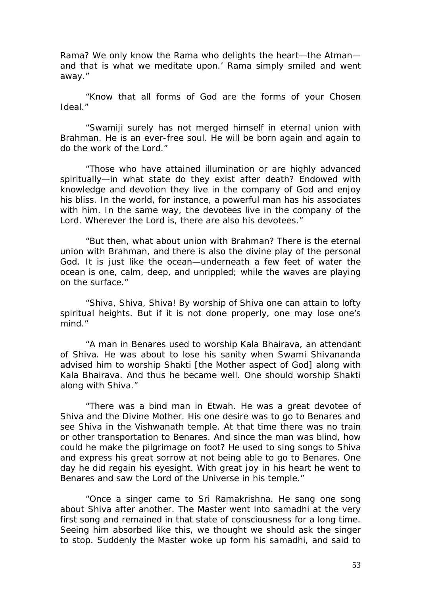Rama? We only know the Rama who delights the heart—the Atman and that is what we meditate upon.' Rama simply smiled and went away."

"Know that all forms of God are the forms of your Chosen Ideal."

"Swamiji surely has not merged himself in eternal union with Brahman. He is an ever-free soul. He will be born again and again to do the work of the Lord."

"Those who have attained illumination or are highly advanced spiritually—in what state do they exist after death? Endowed with knowledge and devotion they live in the company of God and enjoy his bliss. In the world, for instance, a powerful man has his associates with him. In the same way, the devotees live in the company of the Lord. Wherever the Lord is, there are also his devotees."

"But then, what about union with Brahman? There is the eternal union with Brahman, and there is also the divine play of the personal God. It is just like the ocean—underneath a few feet of water the ocean is one, calm, deep, and unrippled; while the waves are playing on the surface."

"Shiva, Shiva, Shiva! By worship of Shiva one can attain to lofty spiritual heights. But if it is not done properly, one may lose one's mind."

"A man in Benares used to worship Kala Bhairava, an attendant of Shiva. He was about to lose his sanity when Swami Shivananda advised him to worship Shakti [the Mother aspect of God] along with Kala Bhairava. And thus he became well. One should worship Shakti along with Shiva."

"There was a bind man in Etwah. He was a great devotee of Shiva and the Divine Mother. His one desire was to go to Benares and see Shiva in the Vishwanath temple. At that time there was no train or other transportation to Benares. And since the man was blind, how could he make the pilgrimage on foot? He used to sing songs to Shiva and express his great sorrow at not being able to go to Benares. One day he did regain his eyesight. With great joy in his heart he went to Benares and saw the Lord of the Universe in his temple."

"Once a singer came to Sri Ramakrishna. He sang one song about Shiva after another. The Master went into samadhi at the very first song and remained in that state of consciousness for a long time. Seeing him absorbed like this, we thought we should ask the singer to stop. Suddenly the Master woke up form his samadhi, and said to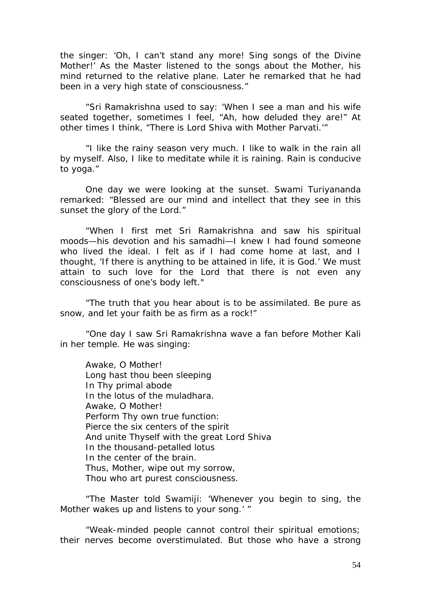the singer: 'Oh, I can't stand any more! Sing songs of the Divine Mother!' As the Master listened to the songs about the Mother, his mind returned to the relative plane. Later he remarked that he had been in a very high state of consciousness."

"Sri Ramakrishna used to say: 'When I see a man and his wife seated together, sometimes I feel, "Ah, how deluded they are!" At other times I think, "There is Lord Shiva with Mother Parvati.'"

"I like the rainy season very much. I like to walk in the rain all by myself. Also, I like to meditate while it is raining. Rain is conducive to yoga."

One day we were looking at the sunset. Swami Turiyananda remarked: "Blessed are our mind and intellect that they see in this sunset the glory of the Lord."

"When I first met Sri Ramakrishna and saw his spiritual moods—his devotion and his samadhi—I knew I had found someone who lived the ideal. I felt as if I had come home at last, and I thought, 'If there is anything to be attained in life, it is God.' We must attain to such love for the Lord that there is not even any consciousness of one's body left."

"The truth that you hear about is to be assimilated. Be pure as snow, and let your faith be as firm as a rock!"

"One day I saw Sri Ramakrishna wave a fan before Mother Kali in her temple. He was singing:

Awake, O Mother! Long hast thou been sleeping In Thy primal abode In the lotus of the muladhara. Awake, O Mother! Perform Thy own true function: Pierce the six centers of the spirit And unite Thyself with the great Lord Shiva In the thousand-petalled lotus In the center of the brain. Thus, Mother, wipe out my sorrow, Thou who art purest consciousness.

"The Master told Swamiji: 'Whenever you begin to sing, the Mother wakes up and listens to your song.' "

"Weak-minded people cannot control their spiritual emotions; their nerves become overstimulated. But those who have a strong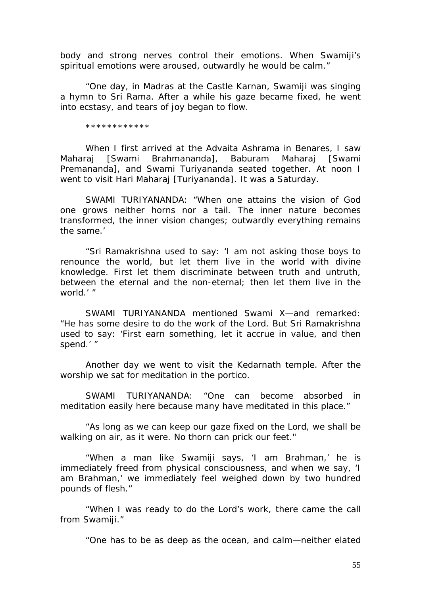body and strong nerves control their emotions. When Swamiji's spiritual emotions were aroused, outwardly he would be calm."

"One day, in Madras at the Castle Karnan, Swamiji was singing a hymn to Sri Rama. After a while his gaze became fixed, he went into ecstasy, and tears of joy began to flow.

\*\*\*\*\*\*\*\*\*\*\*\*

When I first arrived at the Advaita Ashrama in Benares, I saw Maharaj [Swami Brahmananda], Baburam Maharaj [Swami Premananda], and Swami Turiyananda seated together. At noon I went to visit Hari Maharaj [Turiyananda]. It was a Saturday.

SWAMI TURIYANANDA: "When one attains the vision of God one grows neither horns nor a tail. The inner nature becomes transformed, the inner vision changes; outwardly everything remains the same.'

"Sri Ramakrishna used to say: 'I am not asking those boys to renounce the world, but let them live in the world with divine knowledge. First let them discriminate between truth and untruth, between the eternal and the non-eternal; then let them live in the world.' "

SWAMI TURIYANANDA mentioned Swami X—and remarked: "He has some desire to do the work of the Lord. But Sri Ramakrishna used to say: 'First earn something, let it accrue in value, and then spend.' "

Another day we went to visit the Kedarnath temple. After the worship we sat for meditation in the portico.

SWAMI TURIYANANDA: "One can become absorbed in meditation easily here because many have meditated in this place."

"As long as we can keep our gaze fixed on the Lord, we shall be walking on air, as it were. No thorn can prick our feet."

"When a man like Swamiji says, 'I am Brahman,' he is immediately freed from physical consciousness, and when we say, 'I am Brahman,' we immediately feel weighed down by two hundred pounds of flesh."

"When I was ready to do the Lord's work, there came the call from Swamiji."

"One has to be as deep as the ocean, and calm—neither elated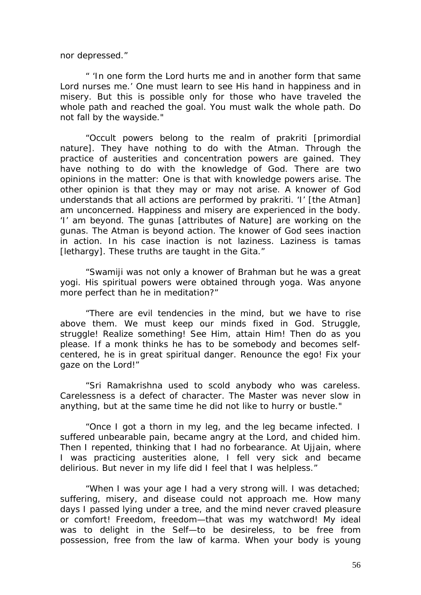nor depressed."

" 'In one form the Lord hurts me and in another form that same Lord nurses me.' One must learn to see His hand in happiness and in misery. But this is possible only for those who have traveled the whole path and reached the goal. You must walk the whole path. Do not fall by the wayside."

"Occult powers belong to the realm of prakriti [primordial nature]. They have nothing to do with the Atman. Through the practice of austerities and concentration powers are gained. They have nothing to do with the knowledge of God. There are two opinions in the matter: One is that with knowledge powers arise. The other opinion is that they may or may not arise. A knower of God understands that all actions are performed by prakriti. 'I' [the Atman] am unconcerned. Happiness and misery are experienced in the body. 'I' am beyond. The gunas [attributes of Nature] are working on the gunas. The Atman is beyond action. The knower of God sees inaction in action. In his case inaction is not laziness. Laziness is tamas [lethargy]. These truths are taught in the Gita."

"Swamiji was not only a knower of Brahman but he was a great yogi. His spiritual powers were obtained through yoga. Was anyone more perfect than he in meditation?"

"There are evil tendencies in the mind, but we have to rise above them. We must keep our minds fixed in God. Struggle, struggle! Realize something! See Him, attain Him! Then do as you please. If a monk thinks he has to be somebody and becomes selfcentered, he is in great spiritual danger. Renounce the ego! Fix your gaze on the Lord!"

"Sri Ramakrishna used to scold anybody who was careless. Carelessness is a defect of character. The Master was never slow in anything, but at the same time he did not like to hurry or bustle."

"Once I got a thorn in my leg, and the leg became infected. I suffered unbearable pain, became angry at the Lord, and chided him. Then I repented, thinking that I had no forbearance. At Ujjain, where I was practicing austerities alone, I fell very sick and became delirious. But never in my life did I feel that I was helpless."

"When I was your age I had a very strong will. I was detached; suffering, misery, and disease could not approach me. How many days I passed lying under a tree, and the mind never craved pleasure or comfort! Freedom, freedom—that was my watchword! My ideal was to delight in the Self—to be desireless, to be free from possession, free from the law of karma. When your body is young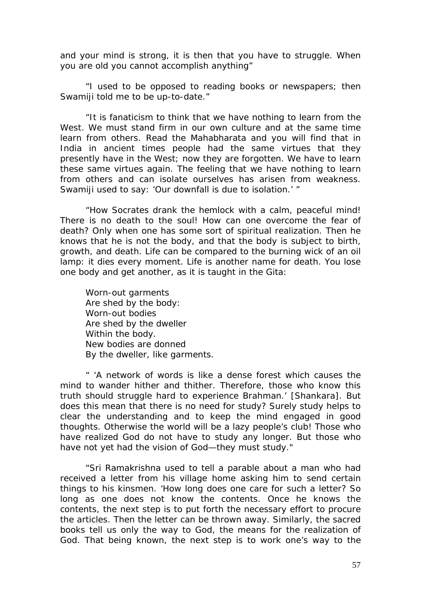and your mind is strong, it is then that you have to struggle. When you are old you cannot accomplish anything"

"I used to be opposed to reading books or newspapers; then Swamiji told me to be up-to-date."

"It is fanaticism to think that we have nothing to learn from the West. We must stand firm in our own culture and at the same time learn from others. Read the Mahabharata and you will find that in India in ancient times people had the same virtues that they presently have in the West; now they are forgotten. We have to learn these same virtues again. The feeling that we have nothing to learn from others and can isolate ourselves has arisen from weakness. Swamiji used to say: 'Our downfall is due to isolation.' "

"How Socrates drank the hemlock with a calm, peaceful mind! There is no death to the soul! How can one overcome the fear of death? Only when one has some sort of spiritual realization. Then he knows that he is not the body, and that the body is subject to birth, growth, and death. Life can be compared to the burning wick of an oil lamp: it dies every moment. Life is another name for death. You lose one body and get another, as it is taught in the Gita:

Worn-out garments Are shed by the body: Worn-out bodies Are shed by the dweller Within the body. New bodies are donned By the dweller, like garments.

" 'A network of words is like a dense forest which causes the mind to wander hither and thither. Therefore, those who know this truth should struggle hard to experience Brahman.' [Shankara]. But does this mean that there is no need for study? Surely study helps to clear the understanding and to keep the mind engaged in good thoughts. Otherwise the world will be a lazy people's club! Those who have realized God do not have to study any longer. But those who have not yet had the vision of God—they must study."

"Sri Ramakrishna used to tell a parable about a man who had received a letter from his village home asking him to send certain things to his kinsmen. 'How long does one care for such a letter? So long as one does not know the contents. Once he knows the contents, the next step is to put forth the necessary effort to procure the articles. Then the letter can be thrown away. Similarly, the sacred books tell us only the way to God, the means for the realization of God. That being known, the next step is to work one's way to the